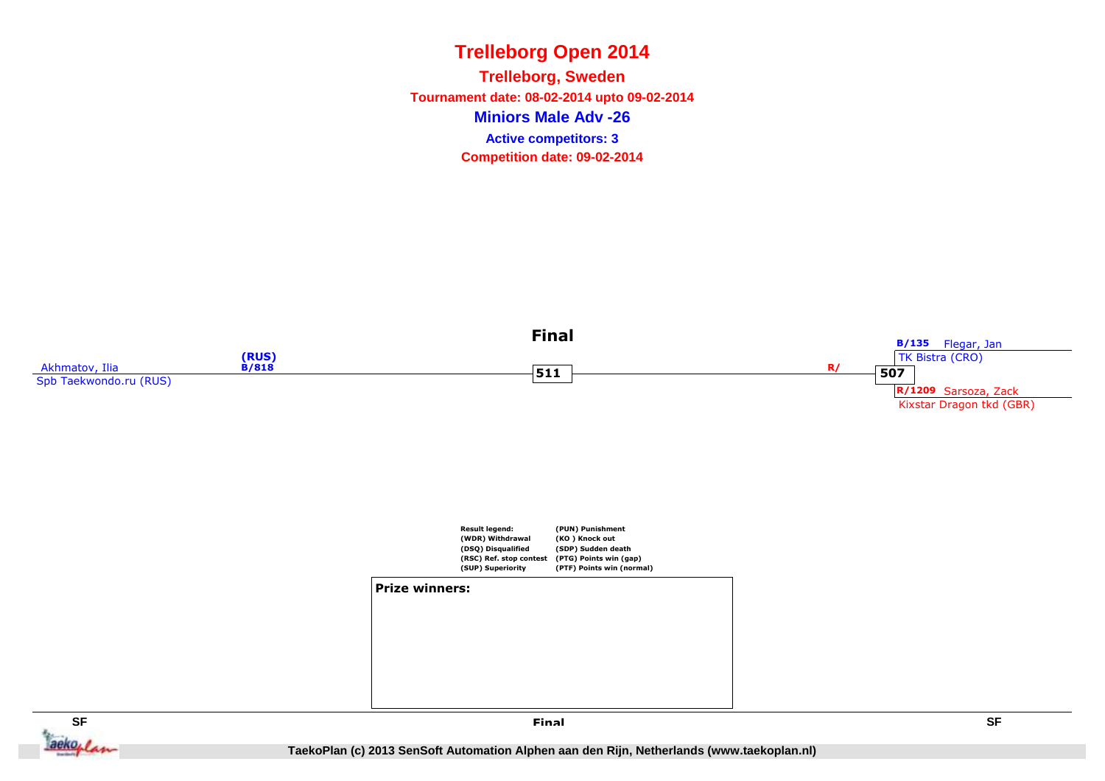**Miniors Male Adv -26Trelleborg, Sweden Tournament date: 08-02-2014 upto 09-02-2014Competition date: 09-02-2014 Active competitors: 3**



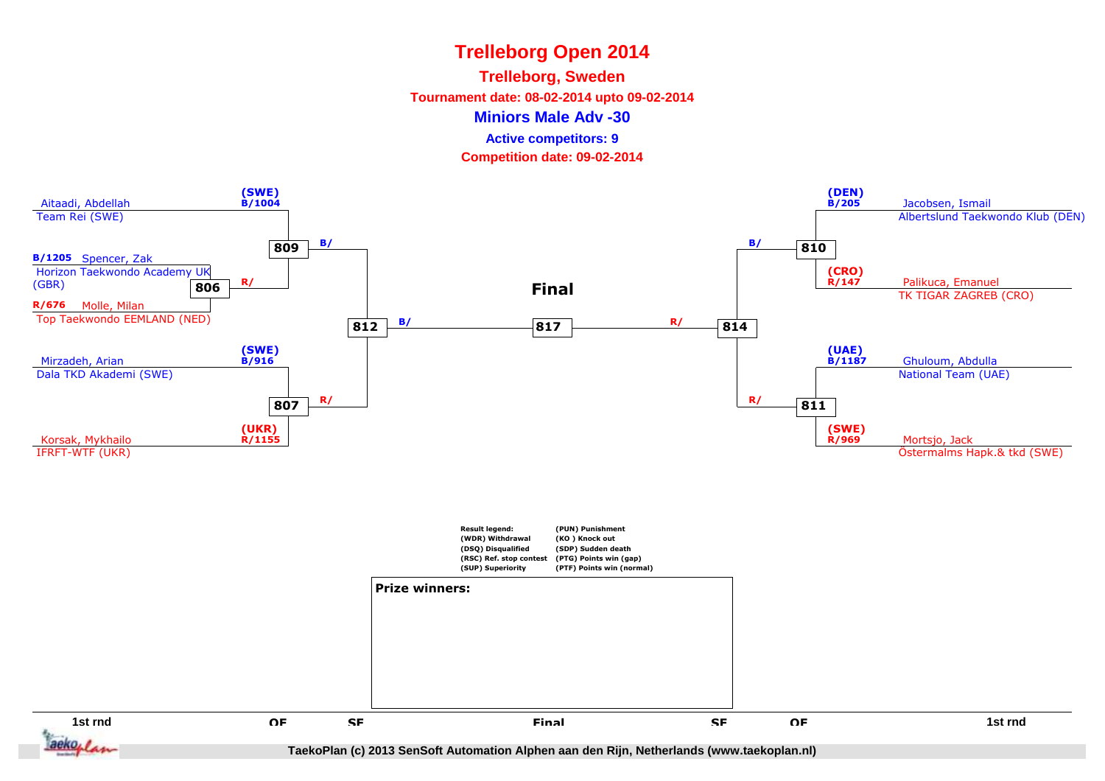### **Trelleborg, Sweden**

**Tournament date: 08-02-2014 upto 09-02-2014**

**Miniors Male Adv -30**

**Active competitors: 9**

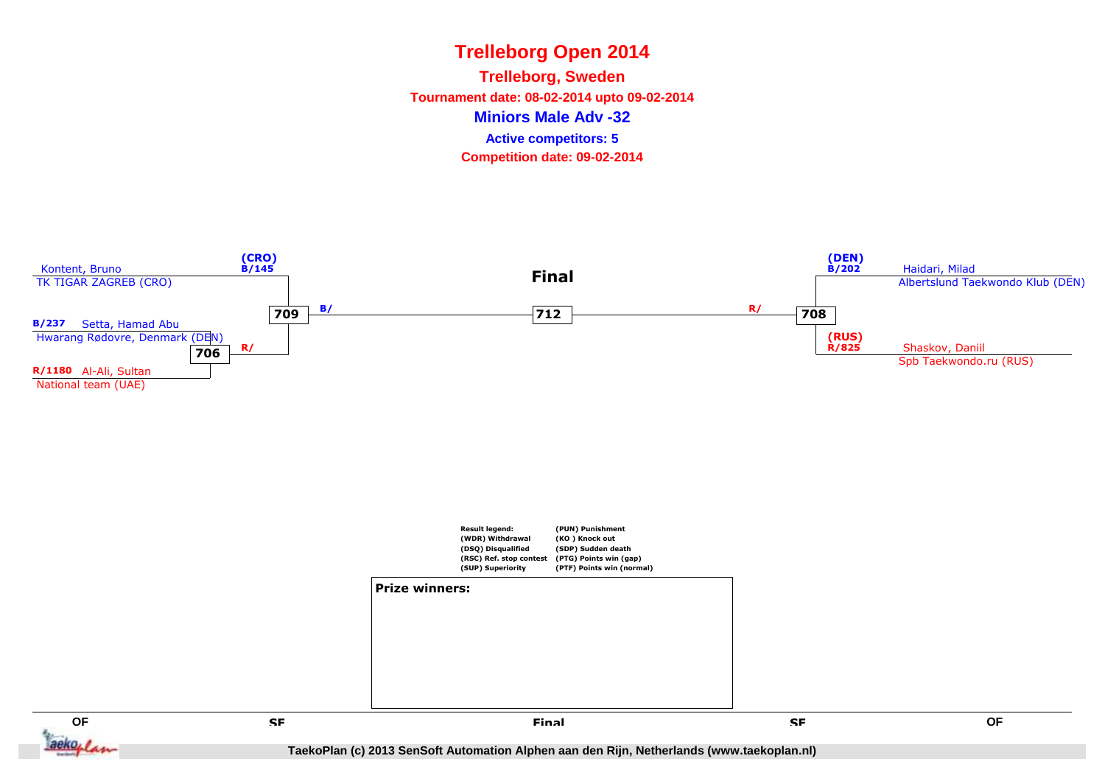**Miniors Male Adv -32Trelleborg, Sweden Tournament date: 08-02-2014 upto 09-02-2014Competition date: 09-02-2014 Active competitors: 5**

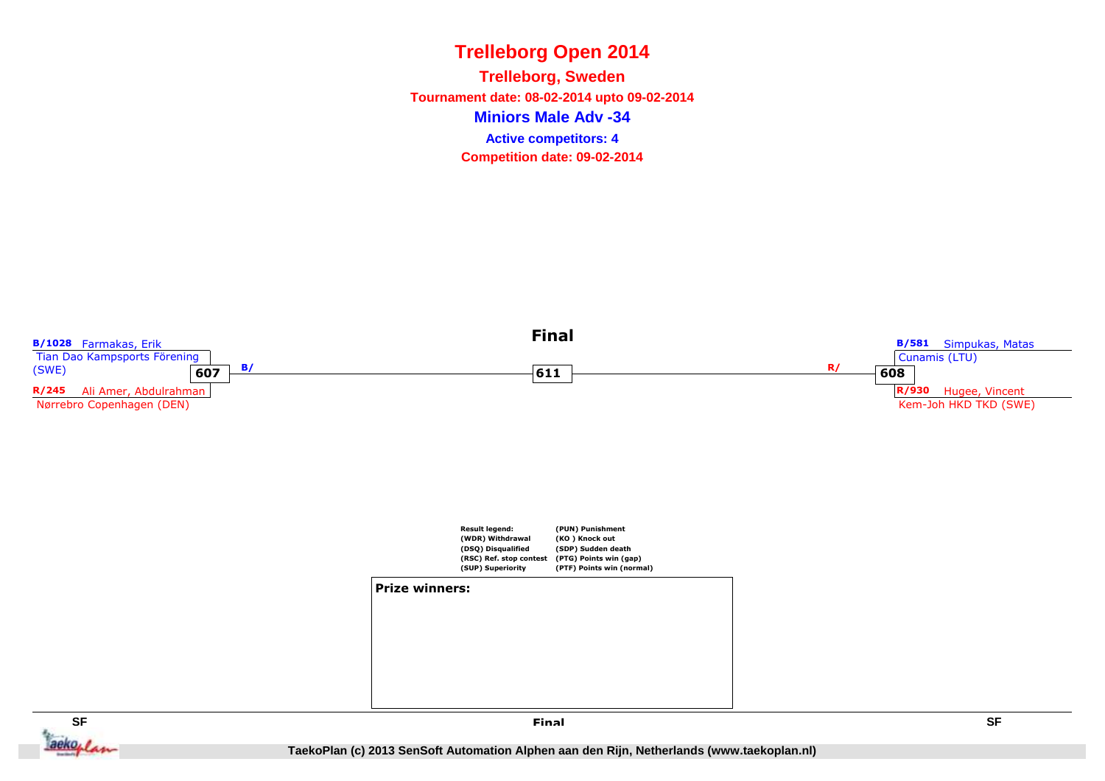**Miniors Male Adv -34Trelleborg, Sweden Tournament date: 08-02-2014 upto 09-02-2014Competition date: 09-02-2014 Active competitors: 4**



**SF SF** ackoplan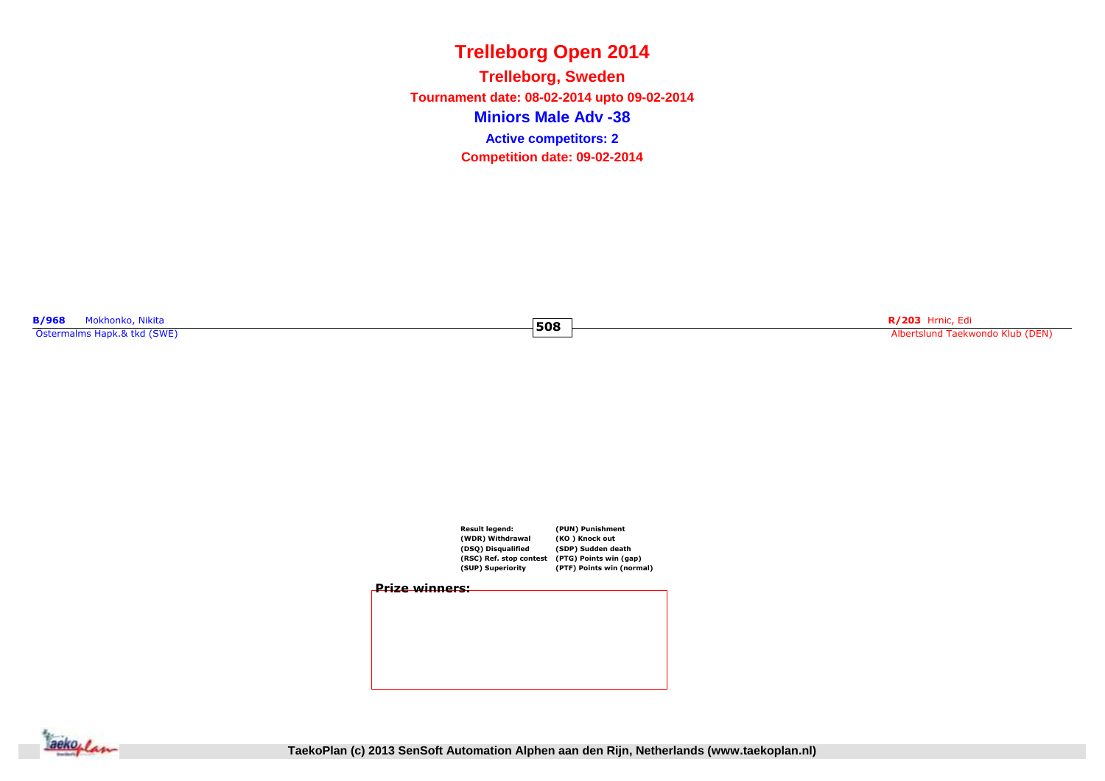**Miniors Male Adv -38Trelleborg, Sweden Tournament date: 08-02-2014 upto 09-02-2014Competition date: 09-02-2014 Active competitors: 2**

**508**

**B/968** Mokhonko, Nikita Östermalms Hapk.& tkd (SWE)

**R/203** Hrnic, Edi Albertslund Taekwondo Klub (DEN)



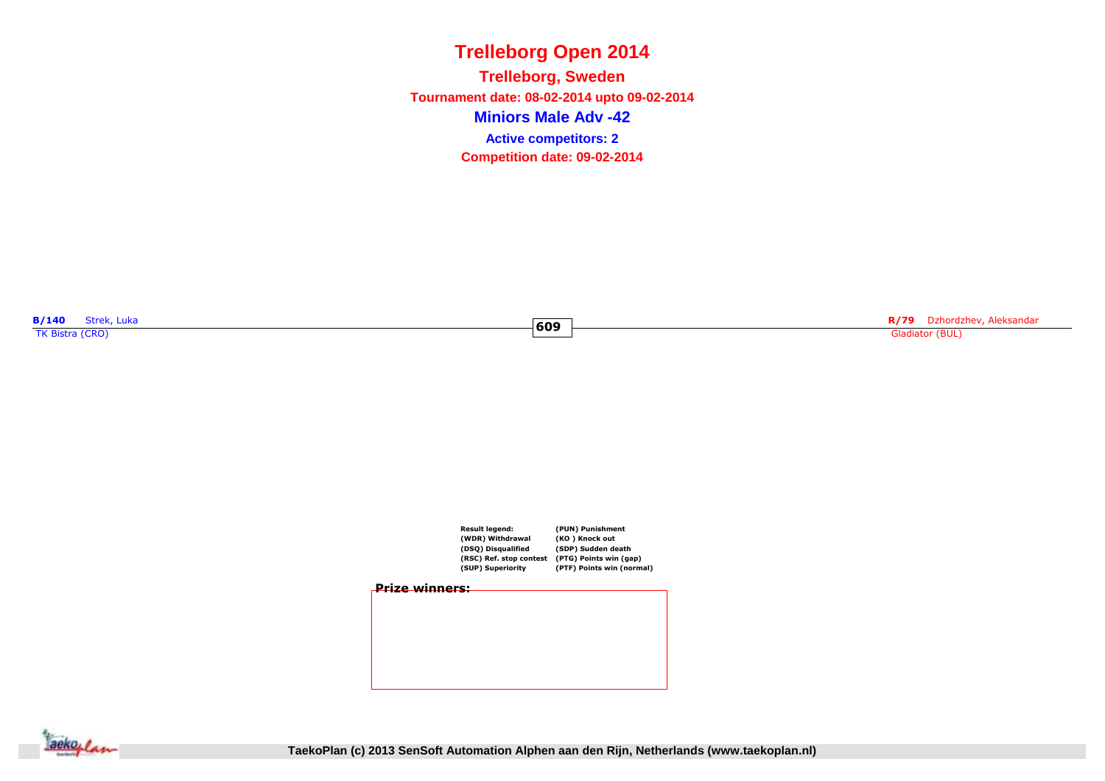**Miniors Male Adv -42Trelleborg, Sweden Tournament date: 08-02-2014 upto 09-02-2014Competition date: 09-02-2014 Active competitors: 2**

**609**

**B/140** Strek, Luka **COVID-000 Streek, Luka COVID-000 Streek, Luka COVID-000 Streek, Luka COVID-000 Streek, Luka<br>TK Bistra (CRO)** 

**R/79** Dzhordzhev, Aleksandar Gladiator (BUL)



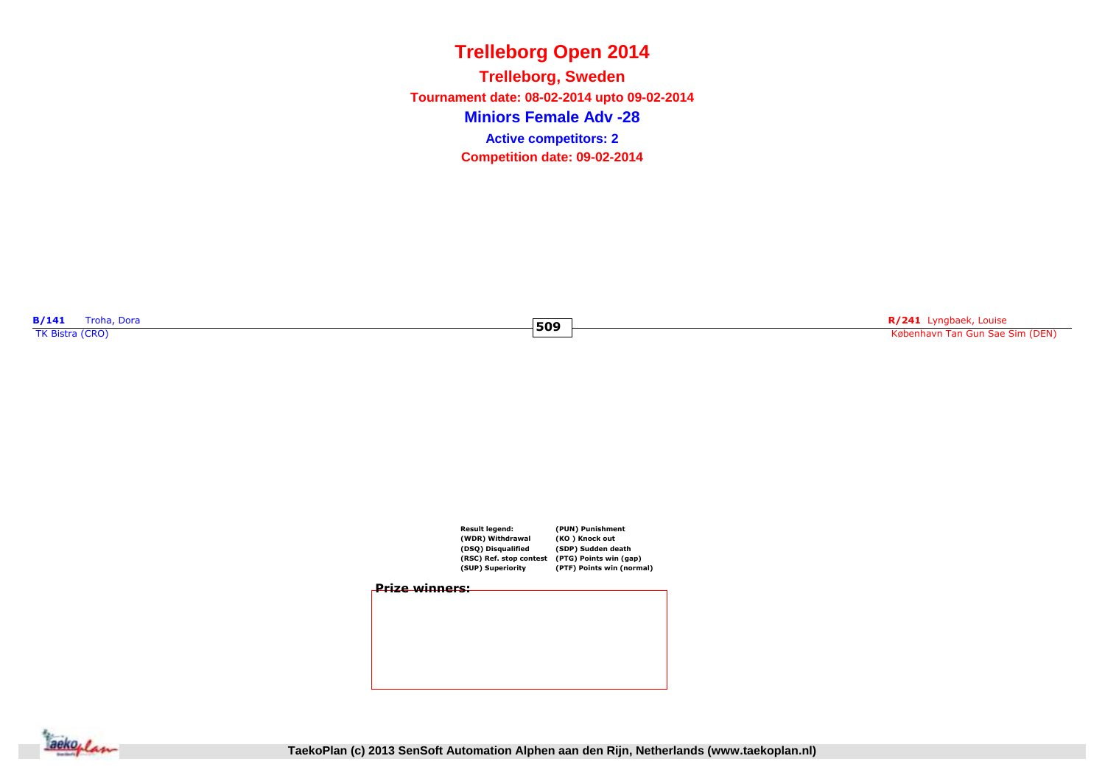**Miniors Female Adv -28Trelleborg, Sweden Tournament date: 08-02-2014 upto 09-02-2014Competition date: 09-02-2014 Active competitors: 2**

**509**

**B/141** Troha, Dora **B/141** Troha, Dora **TK** Bistra (CRO)

**R/241** Lyngbaek, Louise København Tan Gun Sae Sim (DEN)



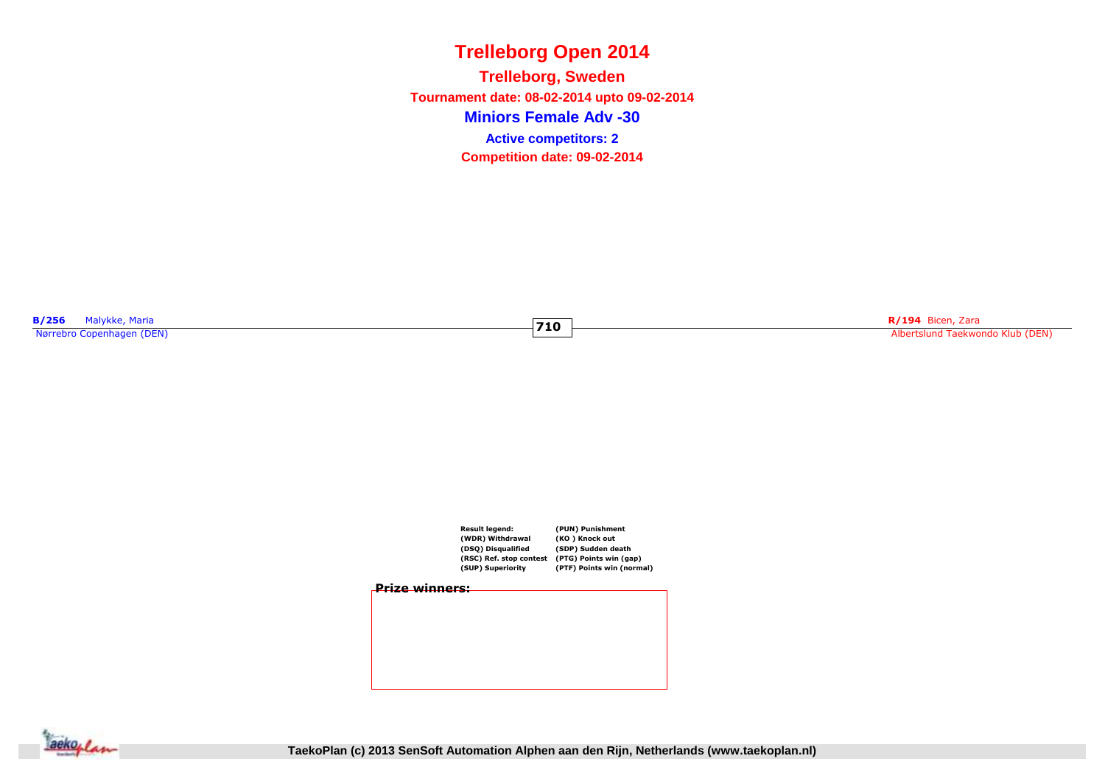**Miniors Female Adv -30Trelleborg, Sweden Tournament date: 08-02-2014 upto 09-02-2014Competition date: 09-02-2014 Active competitors: 2**

**710**

**B/256** Malykke, Maria<br>Nørrebro Copenhagen (DEN)

**rando R/194** Bicen, Zara <mark>R/194 Bicen, Zara R/194 Bicen, Zara R/194 Bicen, Zara Albertslund Taekwondo Klub (DEN)</mark>



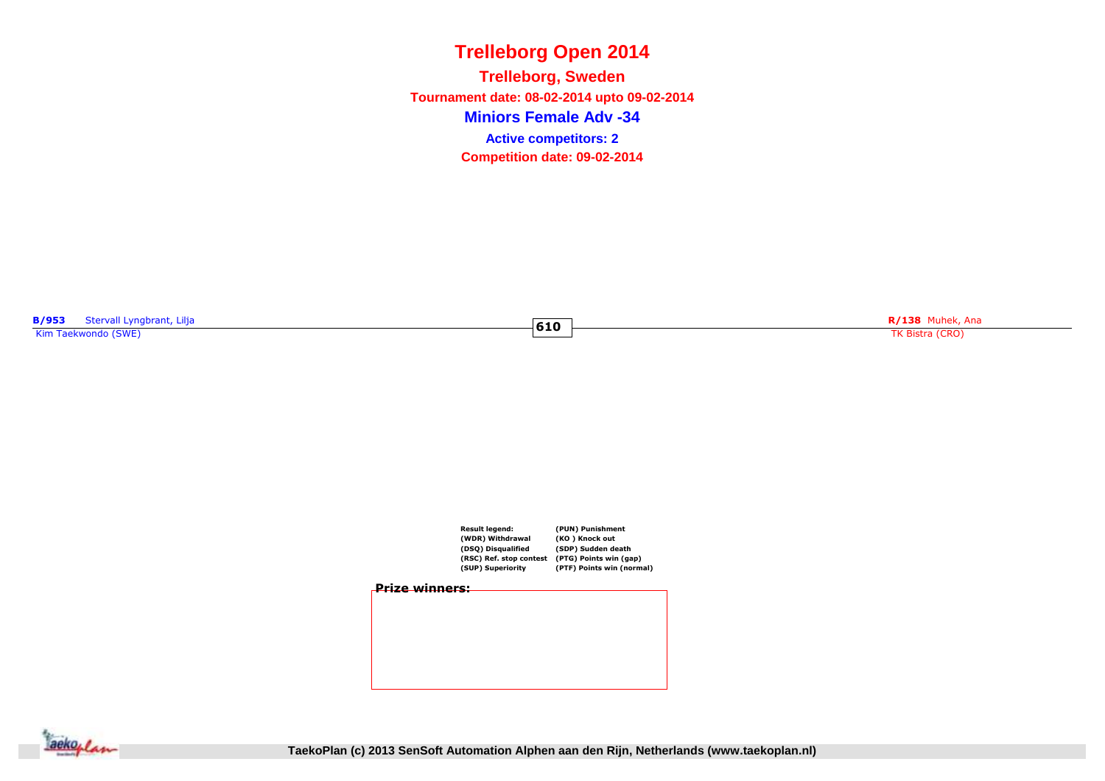**Miniors Female Adv -34Trelleborg, Sweden Tournament date: 08-02-2014 upto 09-02-2014Competition date: 09-02-2014 Active competitors: 2**

**610**

**B/953** Stervall Lyngbrant, Lilja<br>Kim Taekwondo (SWE)

ngbrant, Lilja **R/138** Muhek, Ana TK Bistra (CRO) **R/138** Muhek, Ana TK Bistra (CRO) **R/138** Muhek, Ana TK Bistra (CRO)





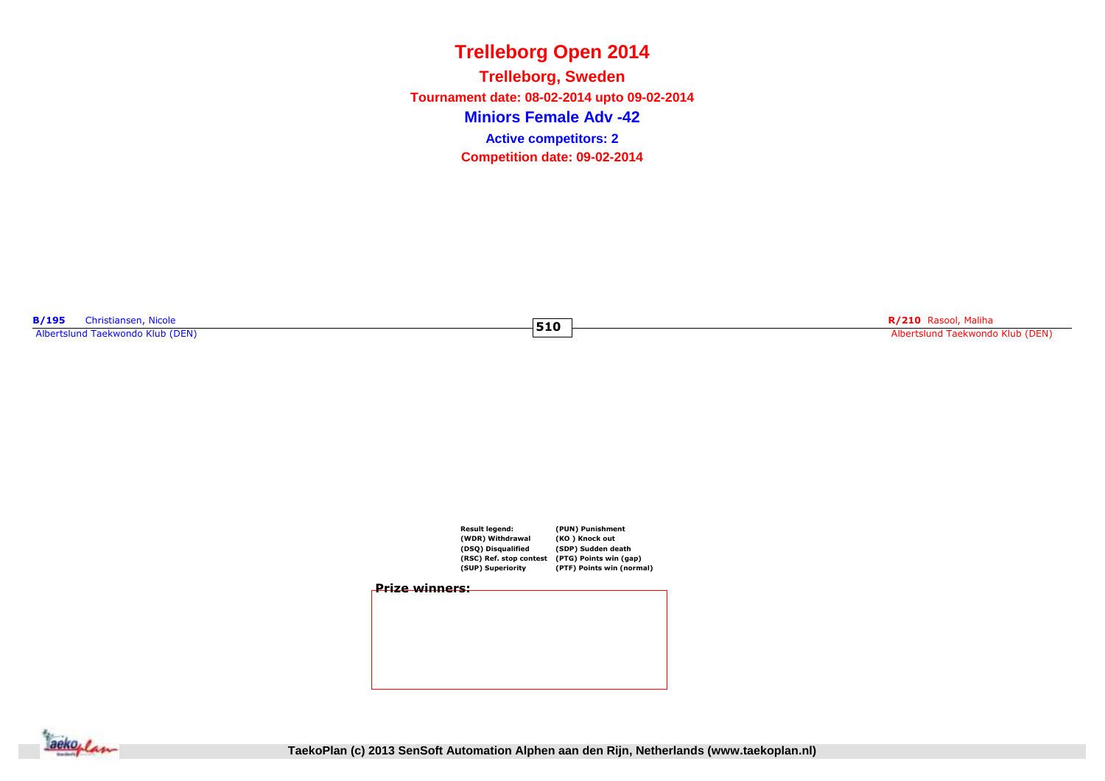**Miniors Female Adv -42Trelleborg, Sweden Tournament date: 08-02-2014 upto 09-02-2014Competition date: 09-02-2014 Active competitors: 2**

**510**

**B/195** Christiansen, Nicole<br>Albertslund Taekwondo Klub (DEN)

**Example 2018**<br>The Communication of the Communication of the Albertslund Taekwondo Klub (DEN)<br>Albertslund Taekwondo Klub (DEN)



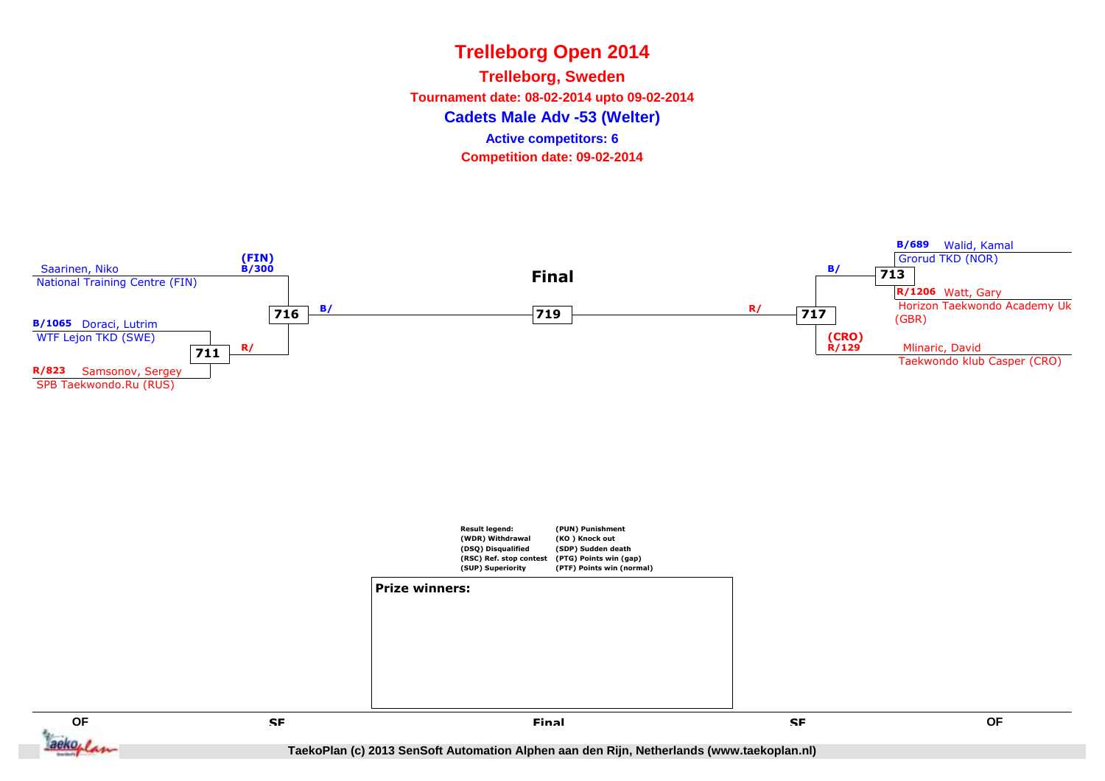**Cadets Male Adv -53 (Welter)Trelleborg, Sweden Tournament date: 08-02-2014 upto 09-02-2014Competition date: 09-02-2014 Active competitors: 6**

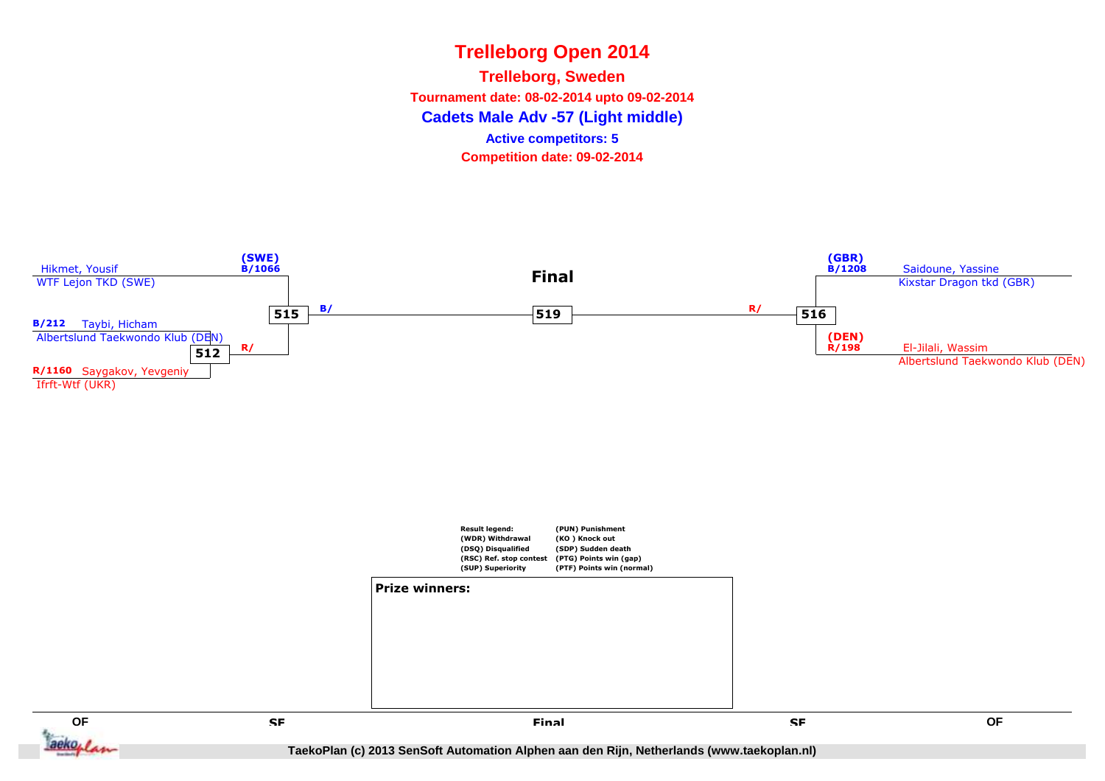**Cadets Male Adv -57 (Light middle)Trelleborg, Sweden Tournament date: 08-02-2014 upto 09-02-2014Competition date: 09-02-2014 Active competitors: 5**



**QF QF**  $aek$ oplan

 **SF Final**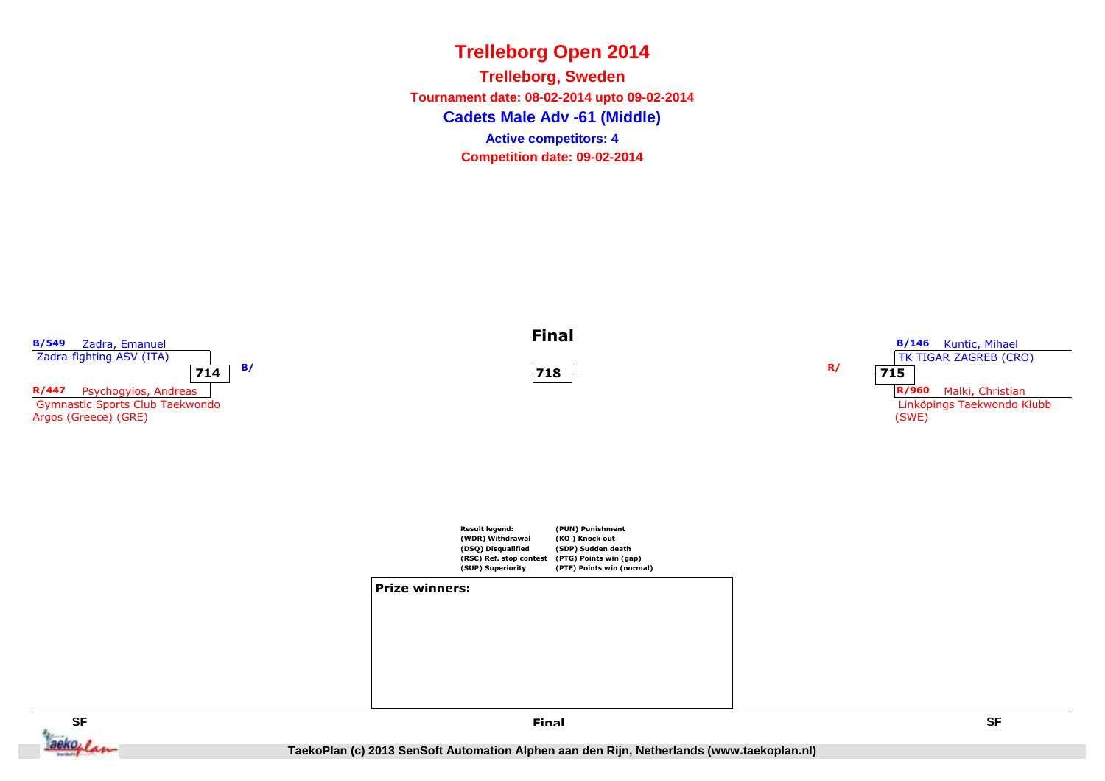**Cadets Male Adv -61 (Middle)Trelleborg, Sweden Tournament date: 08-02-2014 upto 09-02-2014Competition date: 09-02-2014 Active competitors: 4**

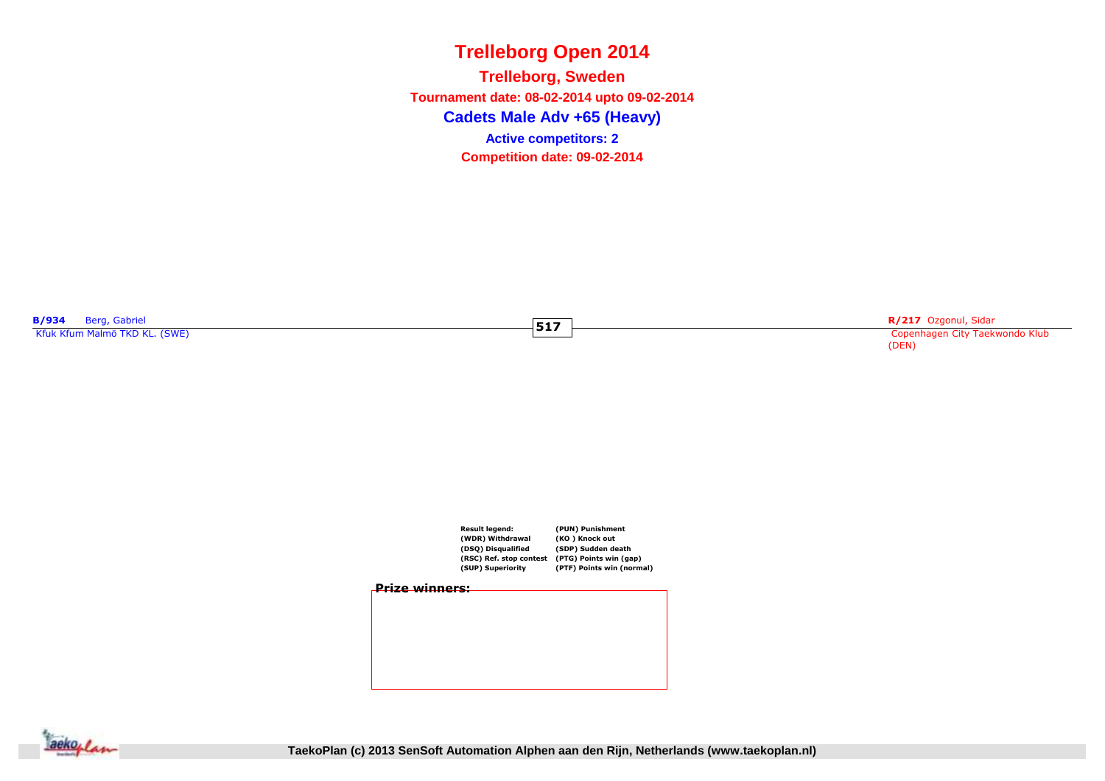**Cadets Male Adv +65 (Heavy)Trelleborg, Sweden Tournament date: 08-02-2014 upto 09-02-2014Competition date: 09-02-2014 Active competitors: 2**

**517**

**B/934** Berg, Gabriel<br>Kfuk Kfum Malmö TKD KL. (SWE)

**Example 217** Superior (Sample 2017 Superior Copenhagen City Taekwondo Klub) (Sample 2017 Superior Copenhagen City Taekwondo Klub) (Sample 2017 Superior Copenhagen City Taekwondo Klub) (Sample 2017 Superior Copenhagen City (DEN)





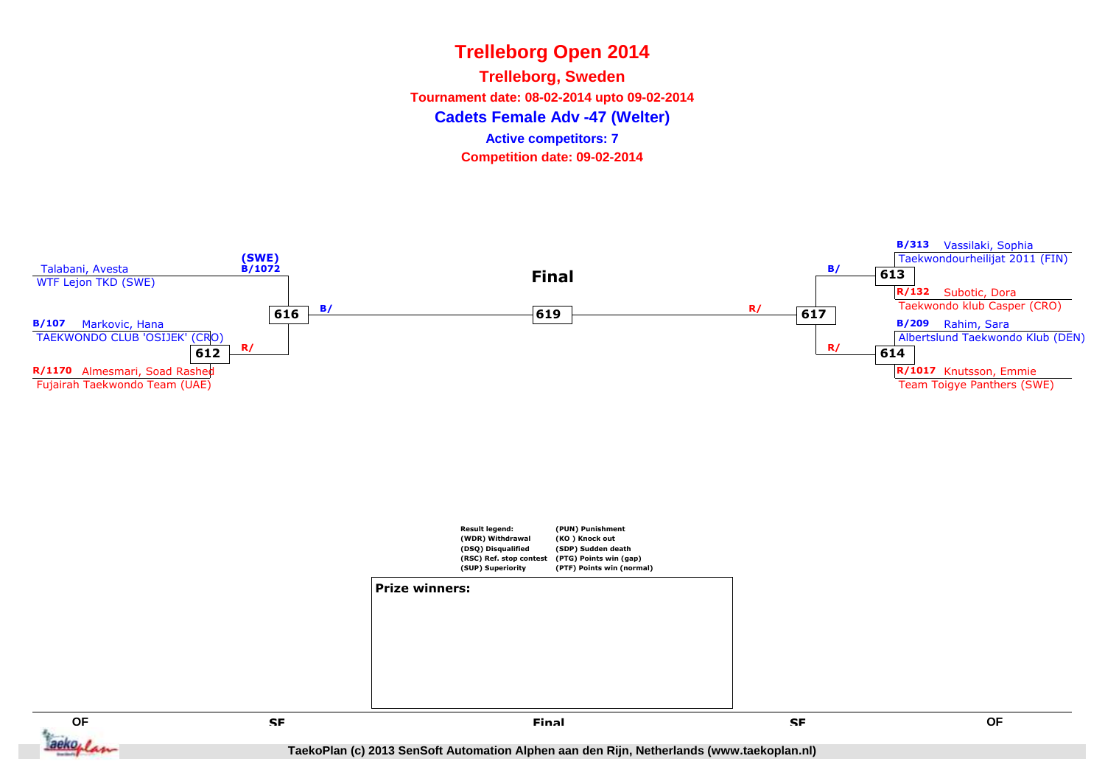**Cadets Female Adv -47 (Welter)Trelleborg, Sweden Tournament date: 08-02-2014 upto 09-02-2014Competition date: 09-02-2014 Active competitors: 7**

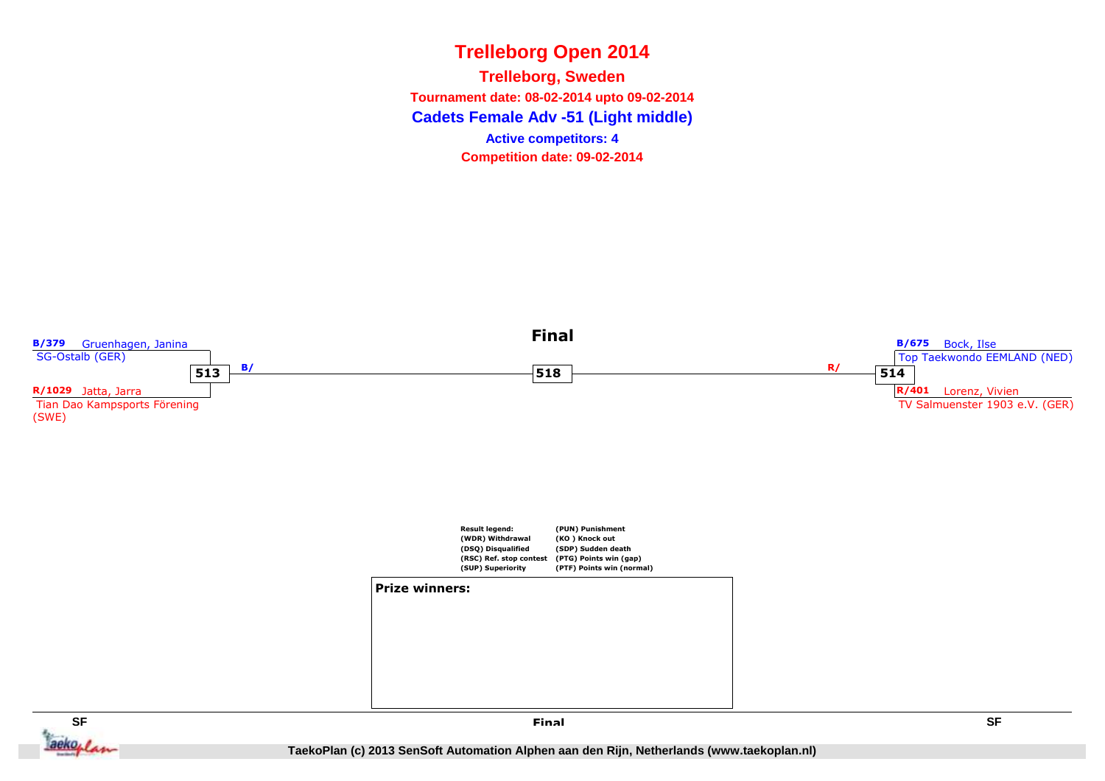**Cadets Female Adv -51 (Light middle) Trelleborg, Sweden Tournament date: 08-02-2014 upto 09-02-2014Competition date: 09-02-2014 Active competitors: 4**



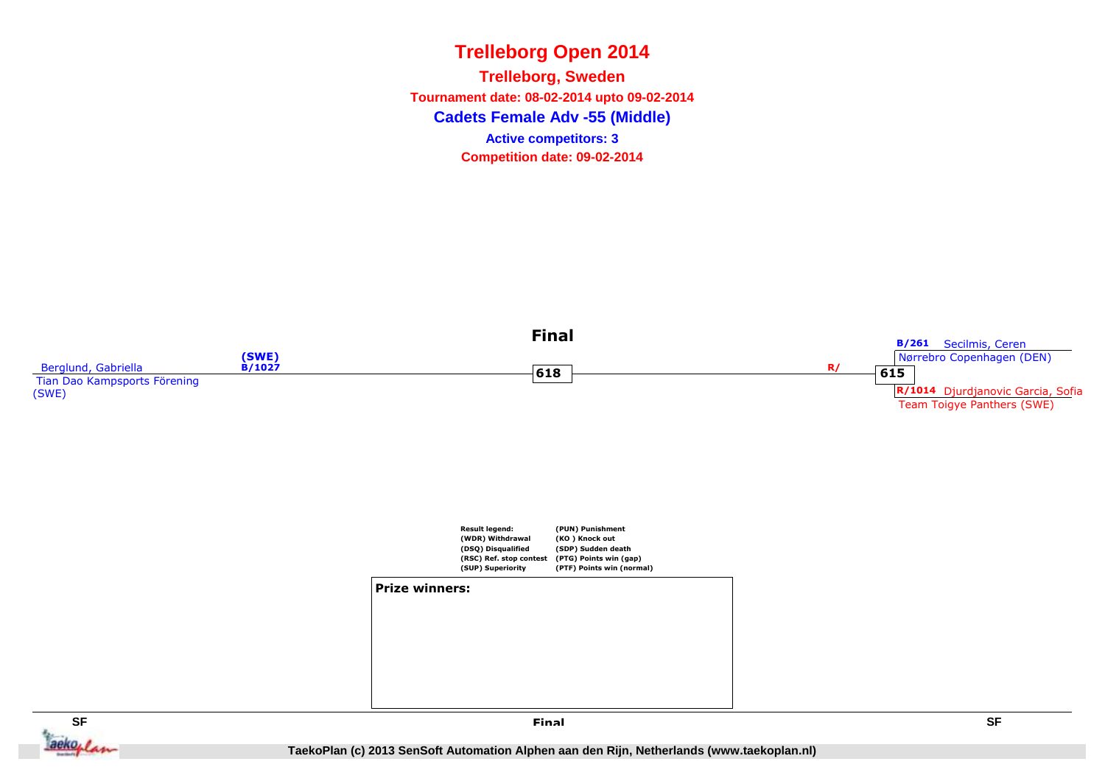**Cadets Female Adv -55 (Middle)Trelleborg, Sweden Tournament date: 08-02-2014 upto 09-02-2014Competition date: 09-02-2014 Active competitors: 3**

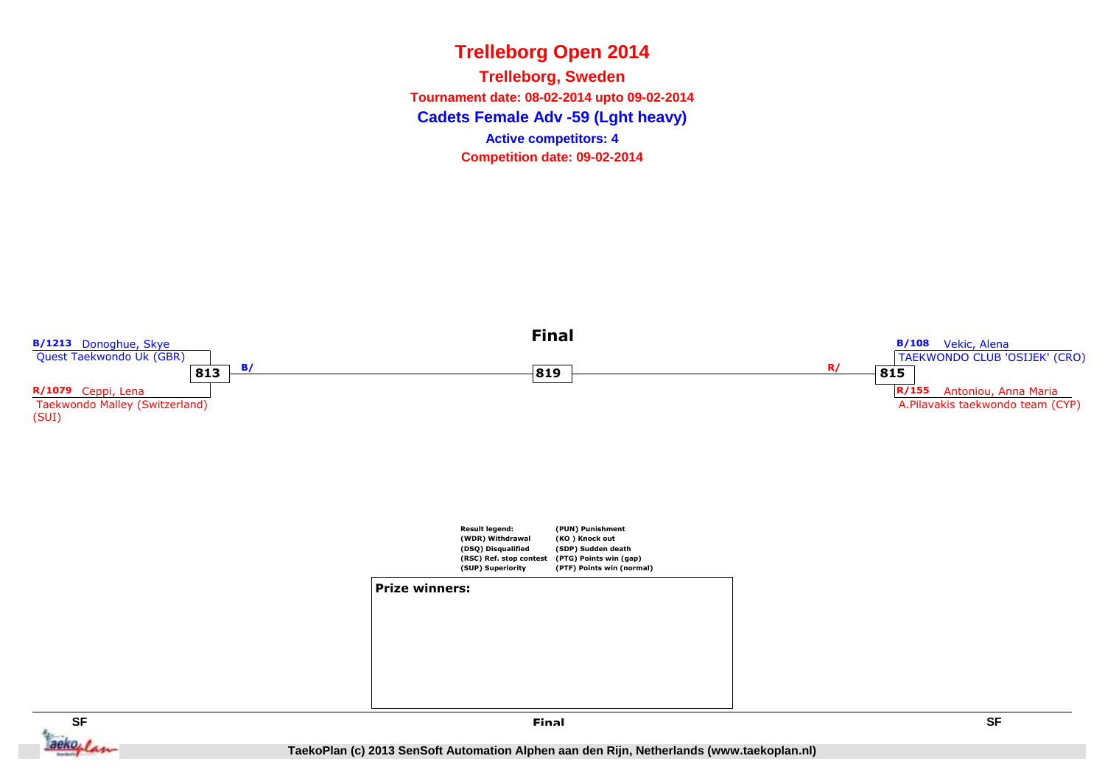**Cadets Female Adv -59 (Lght heavy) Trelleborg, Sweden Tournament date: 08-02-2014 upto 09-02-2014Competition date: 09-02-2014 Active competitors: 4**



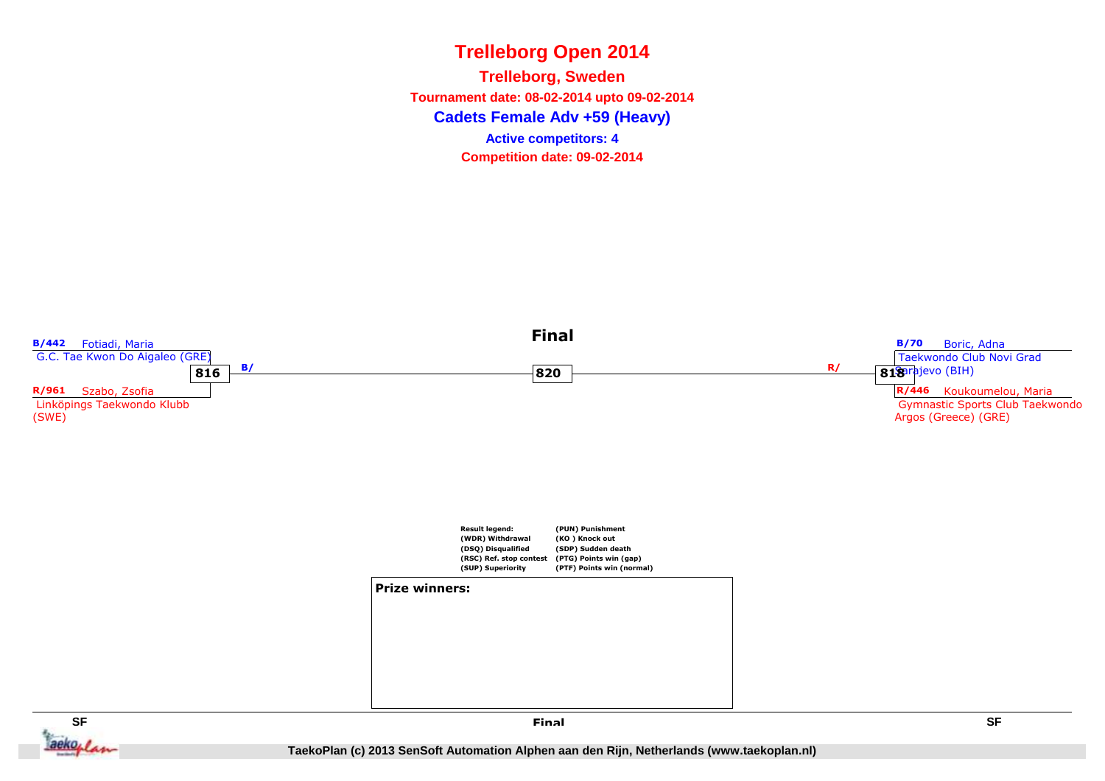**Cadets Female Adv +59 (Heavy)Trelleborg, Sweden Tournament date: 08-02-2014 upto 09-02-2014Competition date: 09-02-2014 Active competitors: 4**

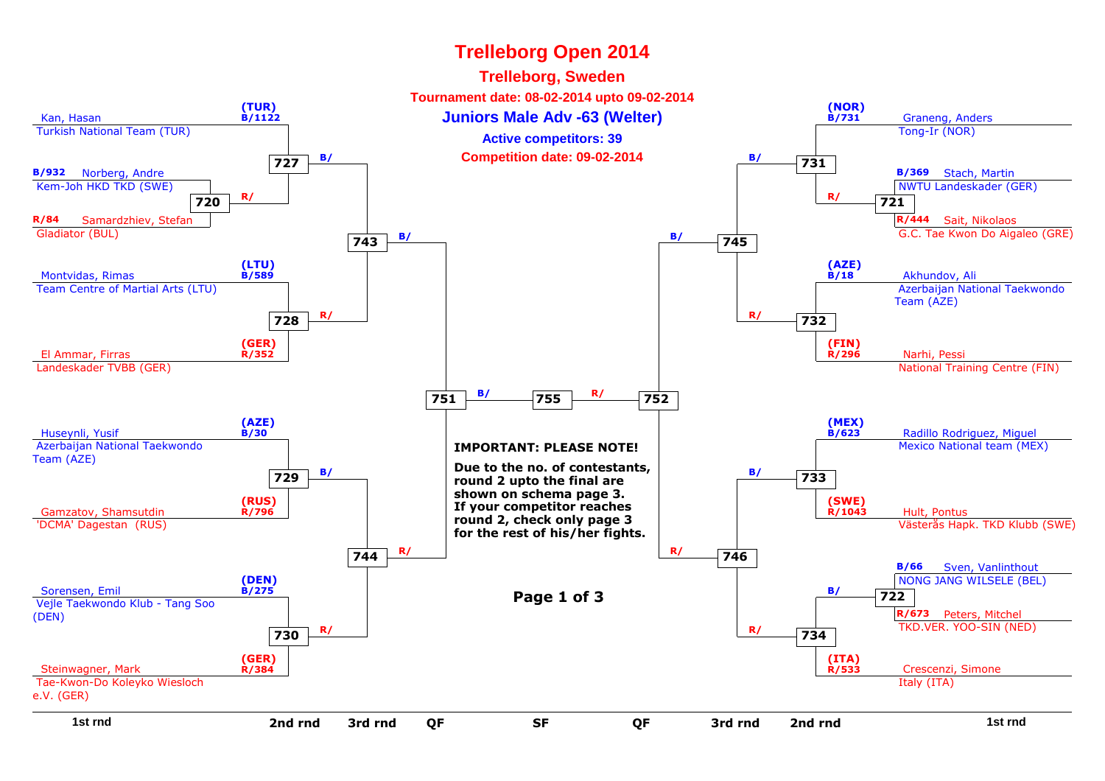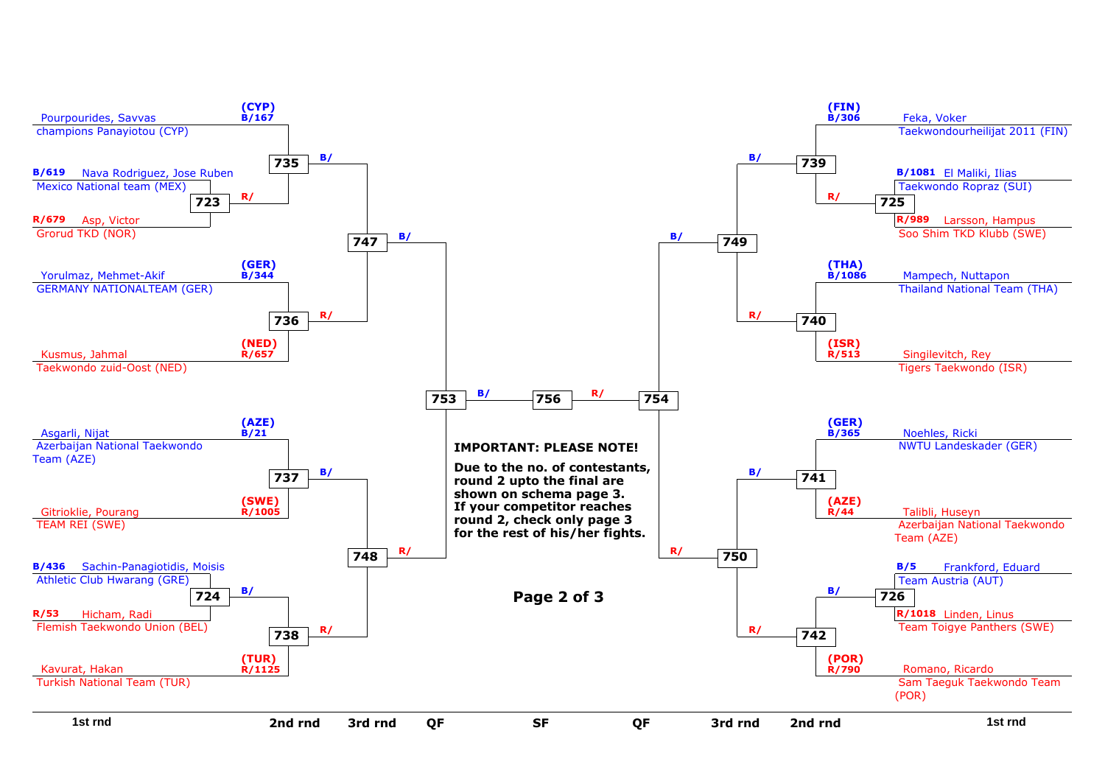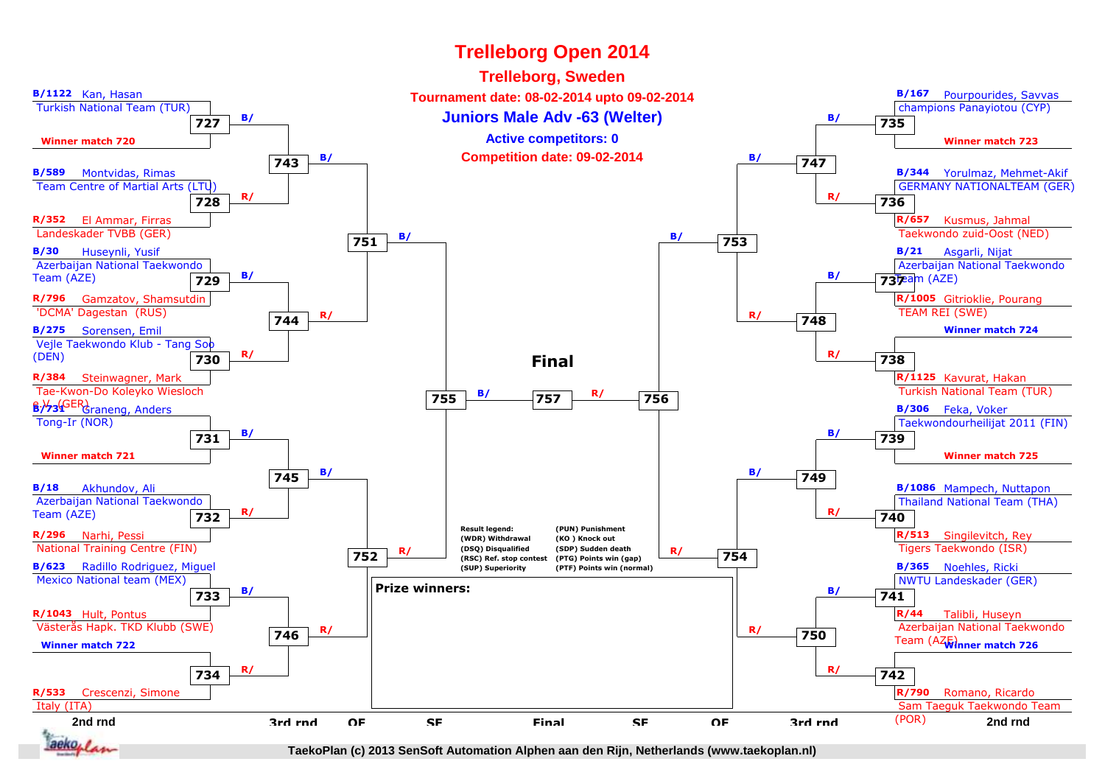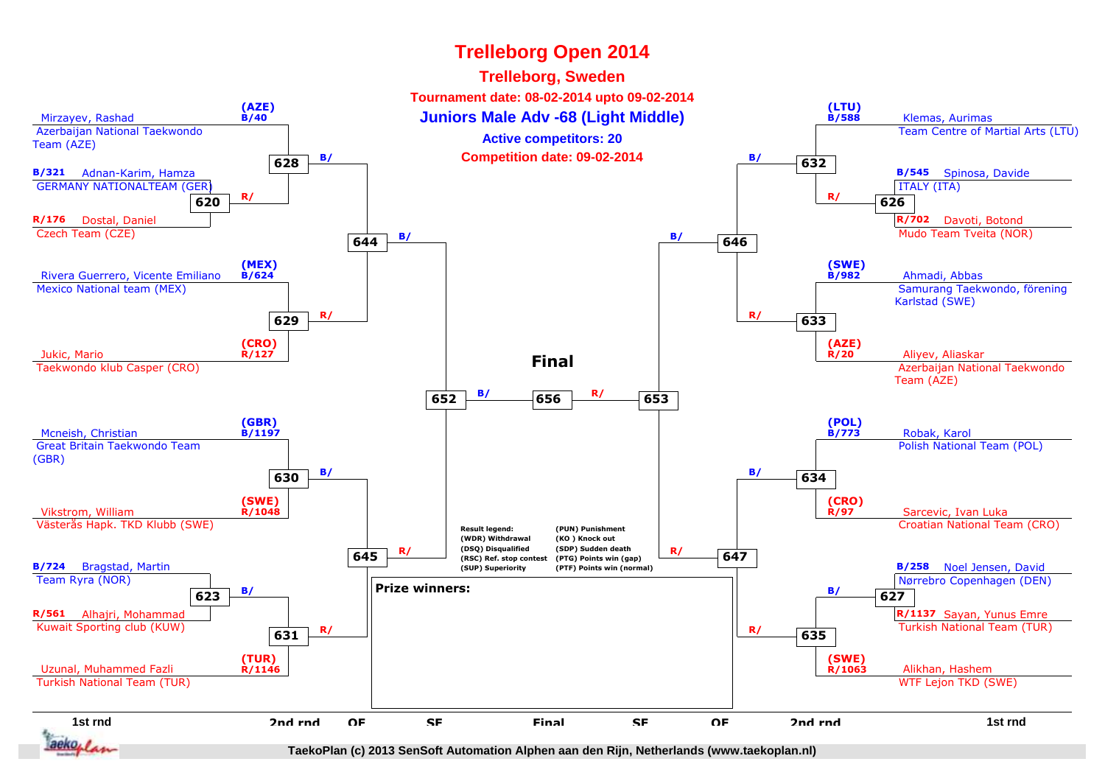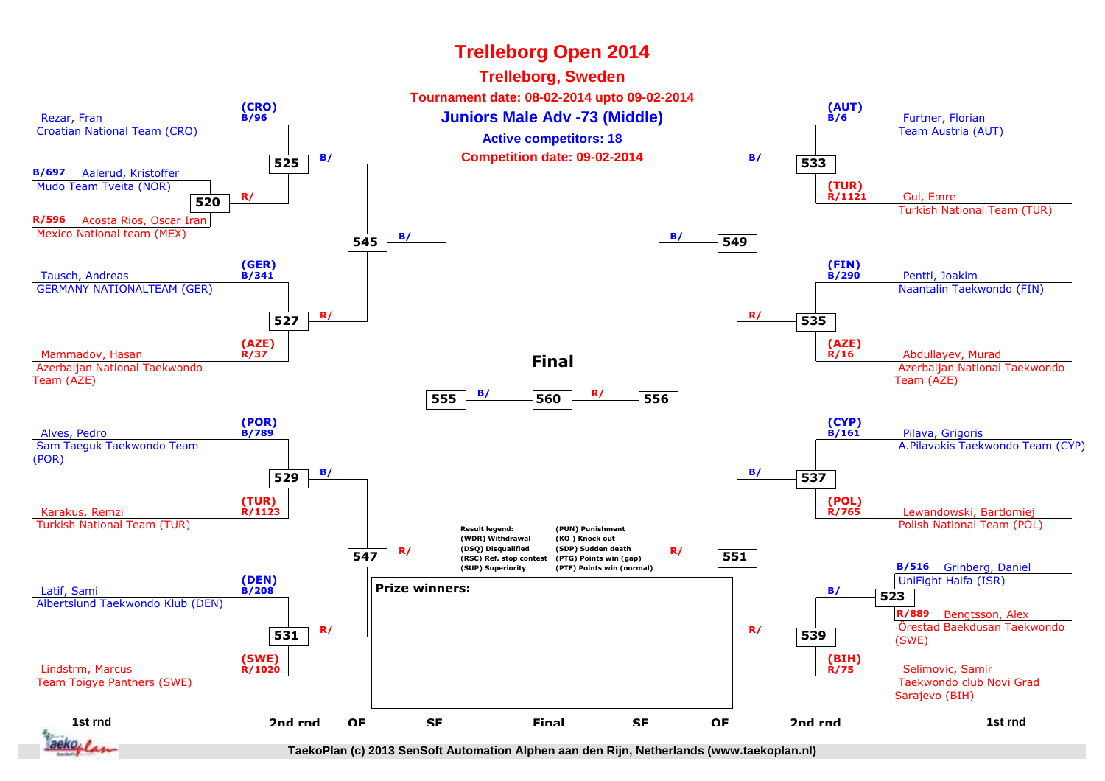

**TaekoPlan (c) 2013 SenSoft Automation Alphen aan den Rijn, Netherlands (www.taekoplan.nl)**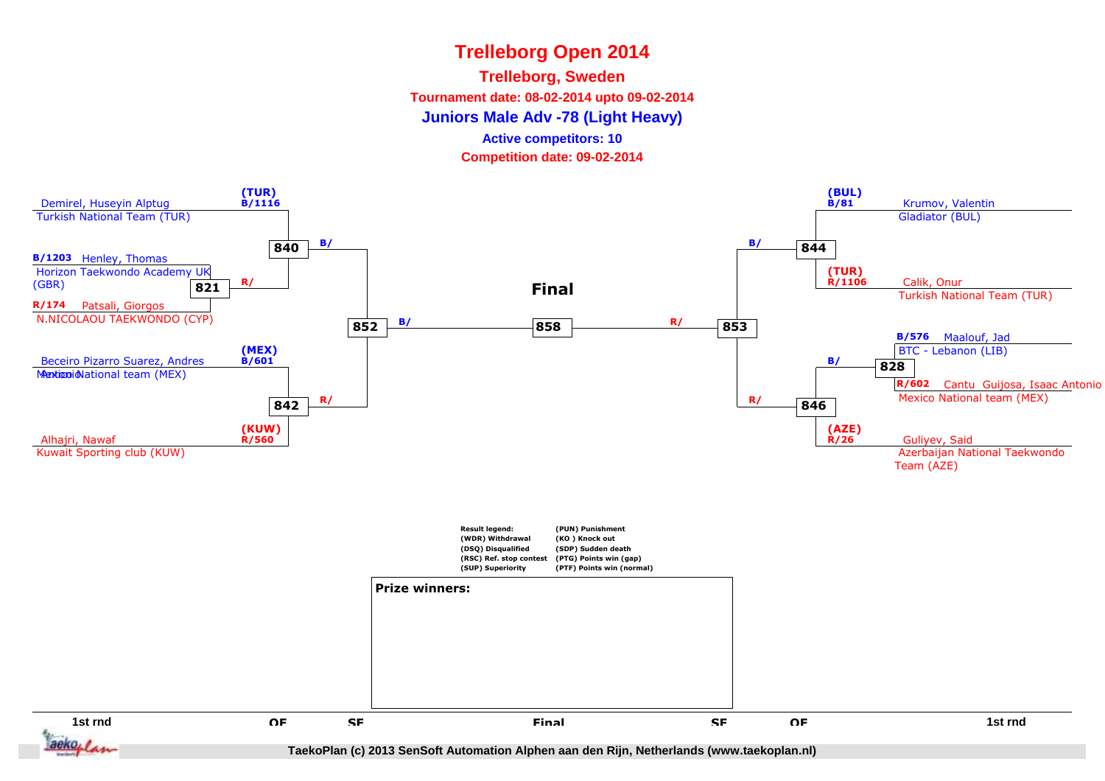#### **Trelleborg, Sweden**

**Tournament date: 08-02-2014 upto 09-02-2014**

**Juniors Male Adv -78 (Light Heavy)**

**Active competitors: 10**

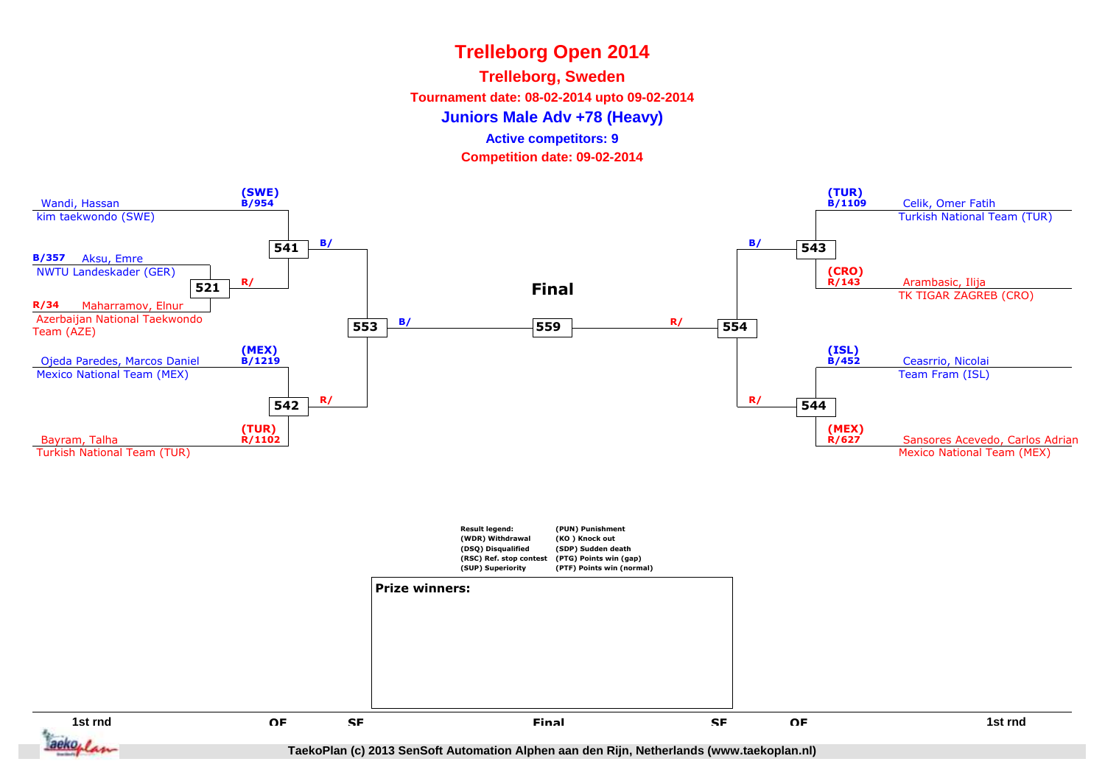#### **Trelleborg, Sweden**

**Tournament date: 08-02-2014 upto 09-02-2014**

**Juniors Male Adv +78 (Heavy)**

### **Active competitors: 9**

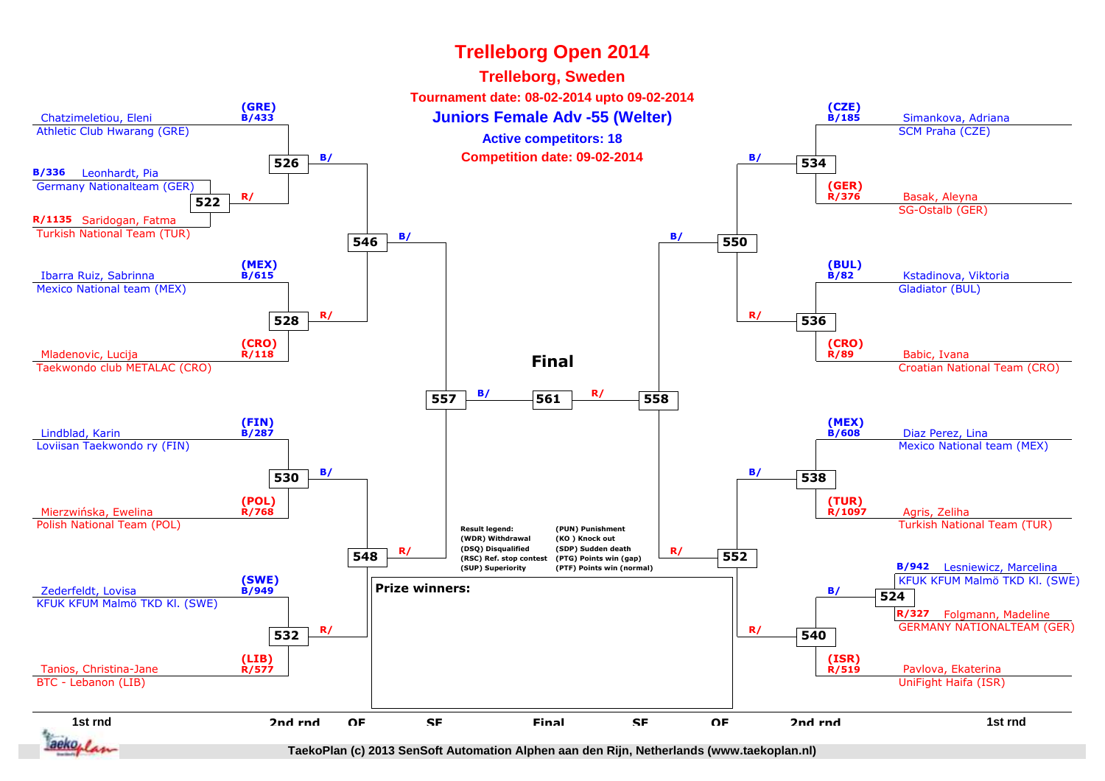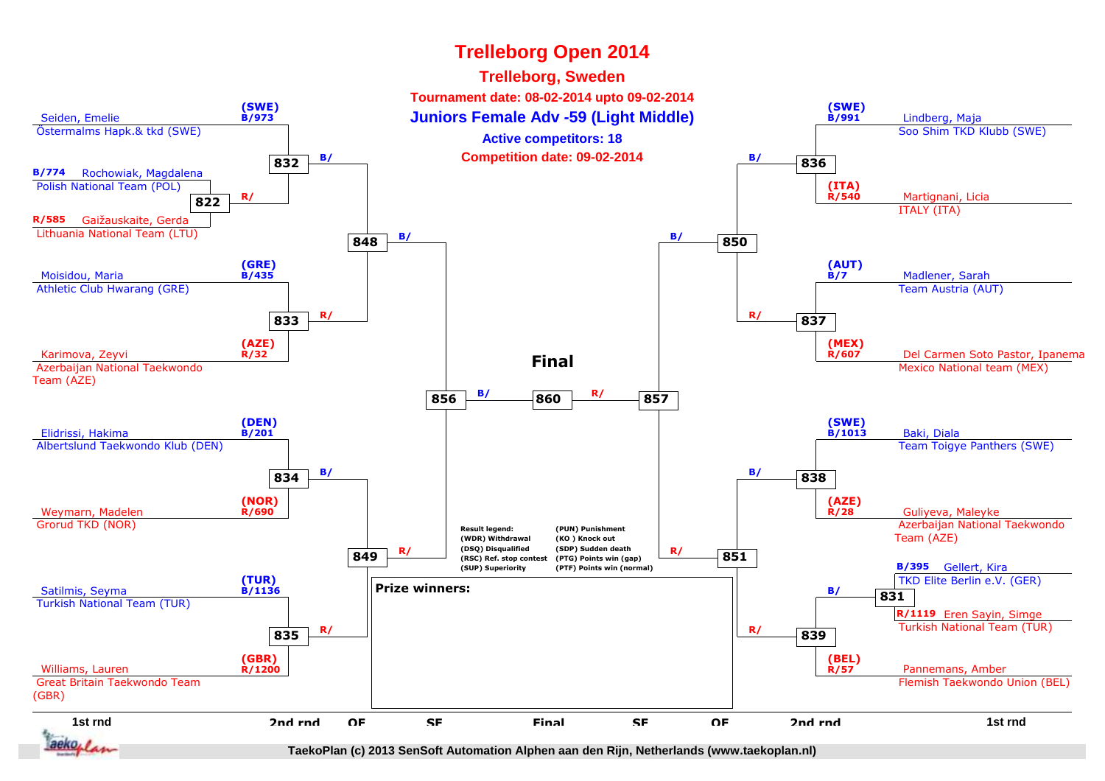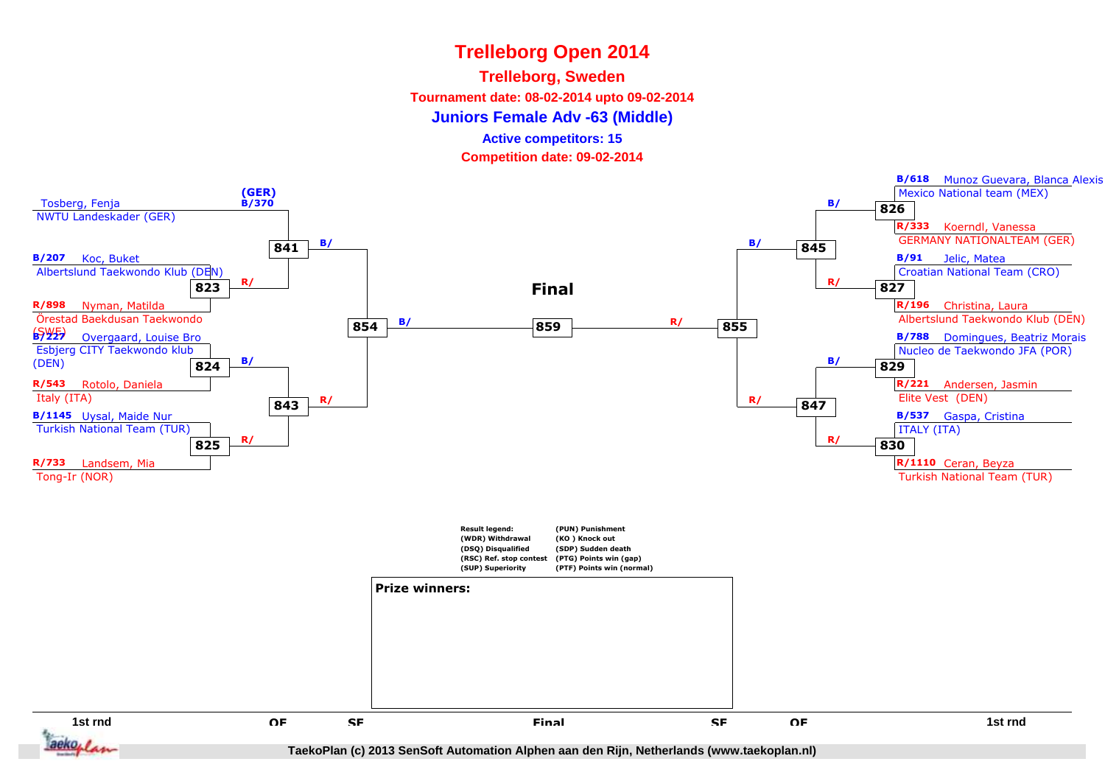### **Trelleborg, Sweden**

**Tournament date: 08-02-2014 upto 09-02-2014**

**Juniors Female Adv -63 (Middle)**

**Active competitors: 15**

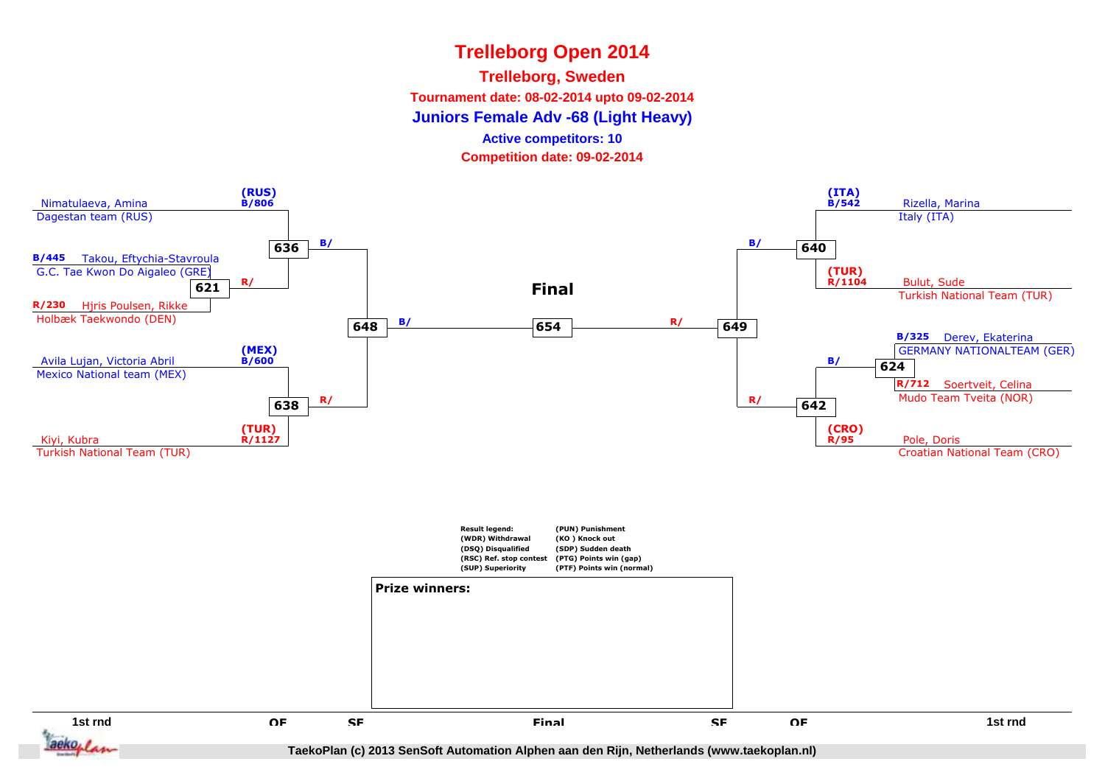**Trelleborg, Sweden**

**Tournament date: 08-02-2014 upto 09-02-2014**

**Juniors Female Adv -68 (Light Heavy)**

**Active competitors: 10**

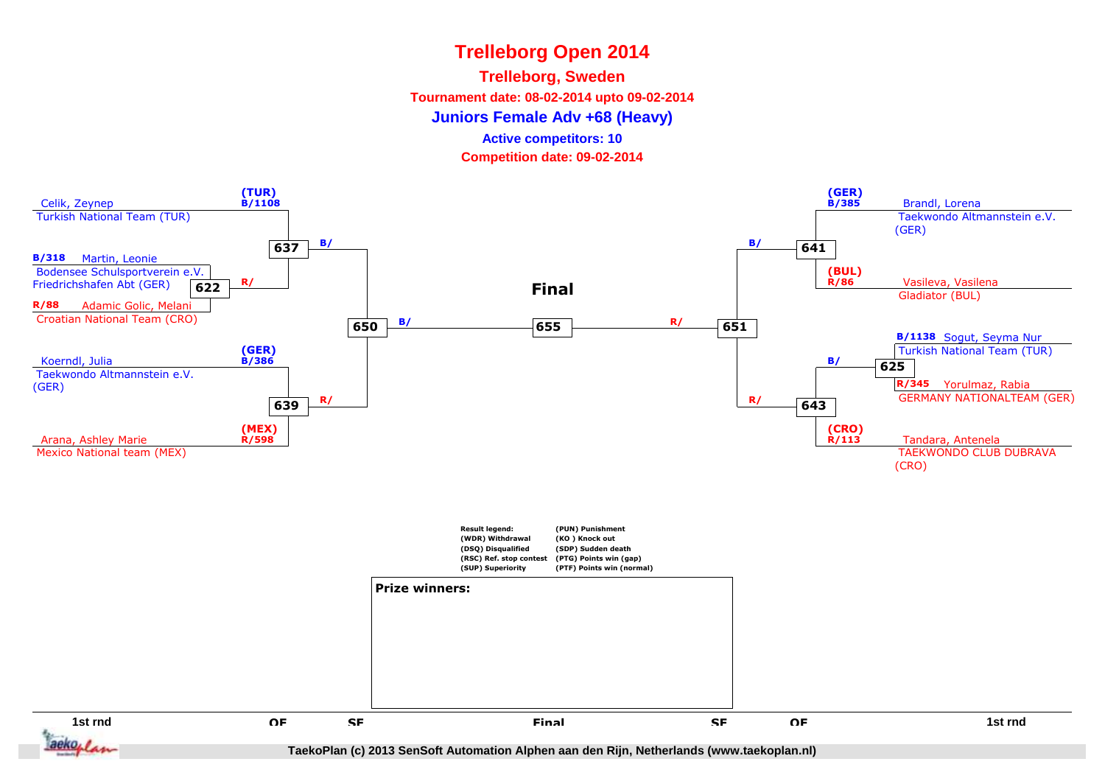### **Trelleborg, Sweden**

**Tournament date: 08-02-2014 upto 09-02-2014**

**Juniors Female Adv +68 (Heavy)**

**Active competitors: 10**

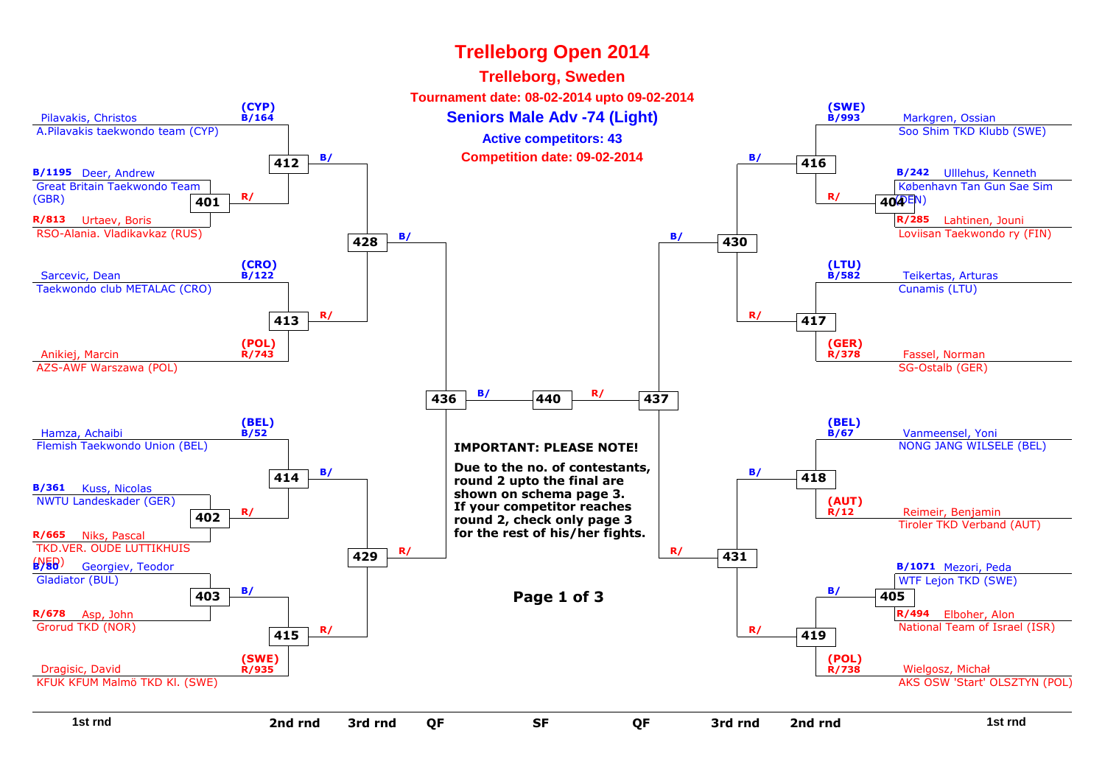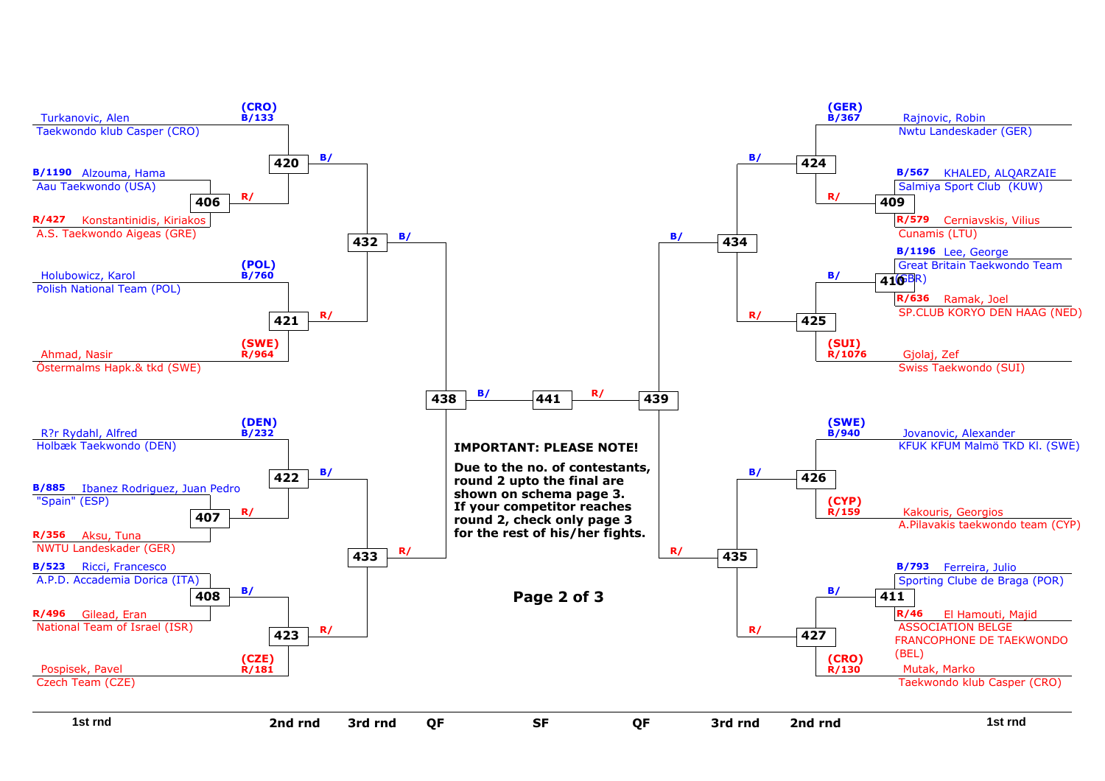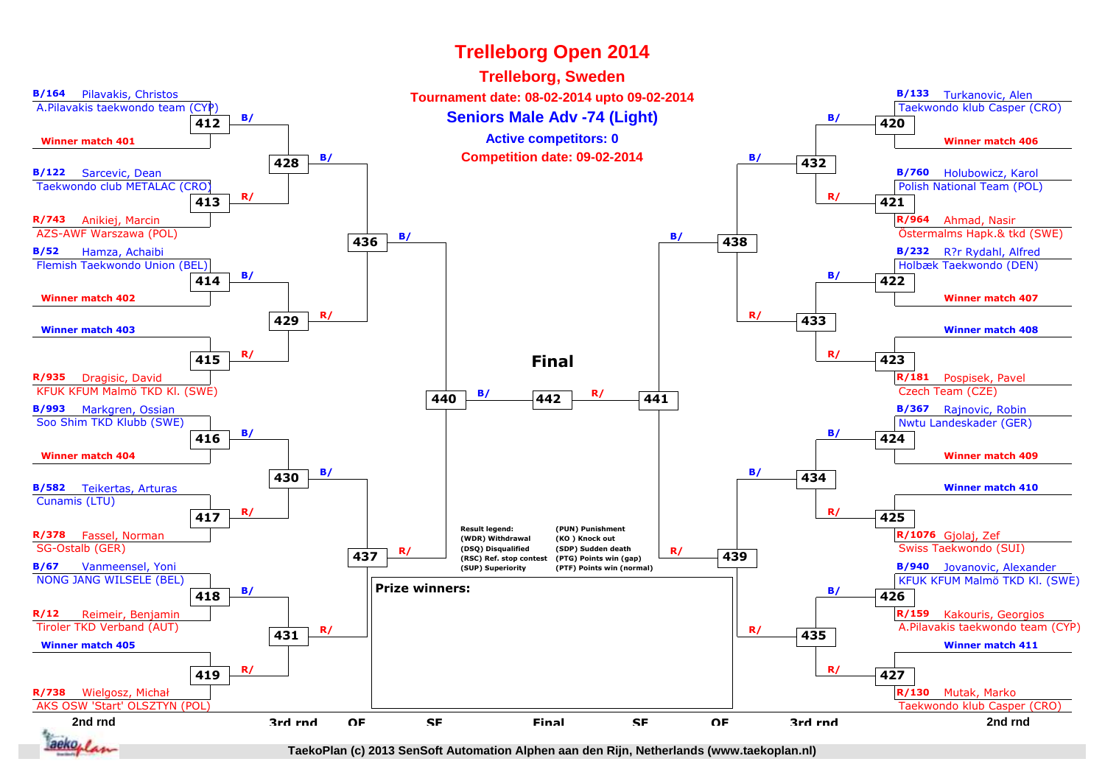#### **2nd rnd**d and the Seapon of the Seapon of the Seapon of the Seapon and the Seapon of the Seapon and the Seapon and the S<br>The Seapon of Seapon of the Seapon and the Seapon and the Seapon and Seapon and Seapon and Seapon and Seapon **B/164** Pilavakis, Christos A.Pilavakis taekwondo team (CYP) **412 B/ Winner match 401B/133** Turkanovic, Alen Taekwondo klub Casper (CRO)**Winner match 406420 B/ B/122** Sarcevic, Dean Taekwondo club METALAC (CRO) **413R/743** Anikiej, Marcin AZS-AWF Warszawa (POL) **R/ B/760** Holubowicz, Karol Polish National Team (POL)**R/964** Ahmad, Nasir Östermalms Hapk.& tkd (SWE)**421 R/ B/52** Hamza, Achaibi Flemish Taekwondo Union (BEL) **414Winner match 402 B/ B/232** R?r Rydahl, Alfred Holbæk Taekwondo (DEN)**Winner match 407422 B/ Winner match 403R/935** Dragisic, David KFUK KFUM Malmö TKD Kl. (SWE)**415 R/ Winner match 408R/181** Pospisek, Pavel Czech Team (CZE)**423 R/ B/993** Markgren, Ossian Soo Shim TKD Klubb (SWE)**Winner match 404416 B/ B/367** Rajnovic, Robin Nwtu Landeskader (GER)**Winner match 409424 B/ B/582** Teikertas, Arturas Cunamis (LTU)**R/378** Fassel, Norman SG-Ostalb (GER)**417 R/ Winner match 410R/1076** Gjolaj, Zef Swiss Taekwondo (SUI)**425 R/ B/67** Vanmeensel, Yoni NONG JANG WILSELE (BEL)**R/12** Reimeir, Benjamin Tiroler TKD Verband (AUT)**418 B/ B/940** Jovanovic, Alexander KFUK KFUM Malmö TKD Kl. (SWE)**R/159** Kakouris, Georgios A.Pilavakis taekwondo team (CYP)**426 B/ Winner match 405R/738** Wielgosz, Michał AKS OSW 'Start' OLSZTYN (POL)**419 R/ Winner match 411R/130** Mutak, Marko Taekwondo klub Casper (CRO)**427 R/ 3rd rnd**d OF SF Final SF OF 3rd rnd<br>d **428B**/ **B**/ **Competition date: 09-02-2014 B**/ **B**/ **432 429 R/ <sup>433</sup> R/ 430b B**/ **434 B**/ **431 R/ <sup>435</sup> R/ QF**F SF Final SF OF **436 B/ <sup>438</sup> B/ 437R/** (DSQ) Disqualitied (SDP) Sudden death<br>
(RSC) Ref. stop contest (PTG) Points win (gap)<br> **A39** (SIIP) Suneriority (PTF) Points win (gappal) **SF**F Final SF **440 B/ <sup>441</sup> R/ <sup>442</sup> FinalResult legend: (WDR) Withdrawal (DSQ) Disqualified (RSC) Ref. stop contest(SUP) Superiority(PUN) Punishment(KO ) Knock out (SDP) Sudden death (PTG) Points win (gap) (PTF) Points win (normal)Prize winners:FinalTrelleborg Open 2014Seniors Male Adv -74 (Light)Trelleborg, Sweden Tournament date: 08-02-2014 upto 09-02-2014Active competitors: 0**

aeko, i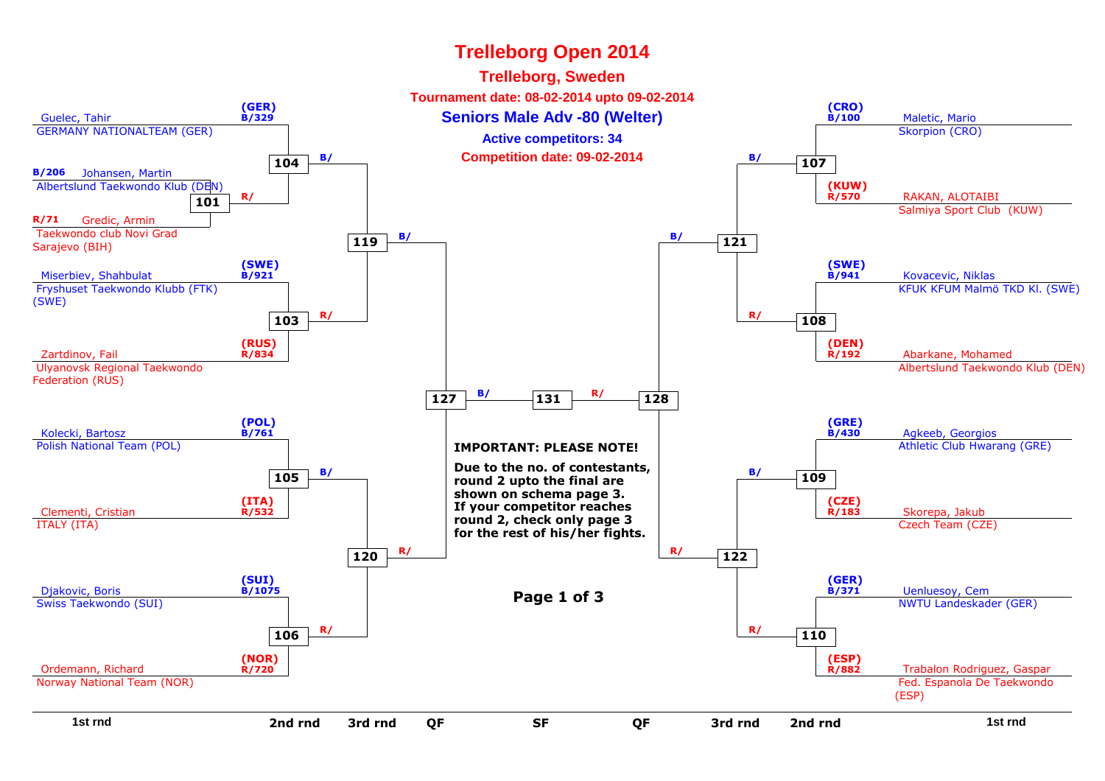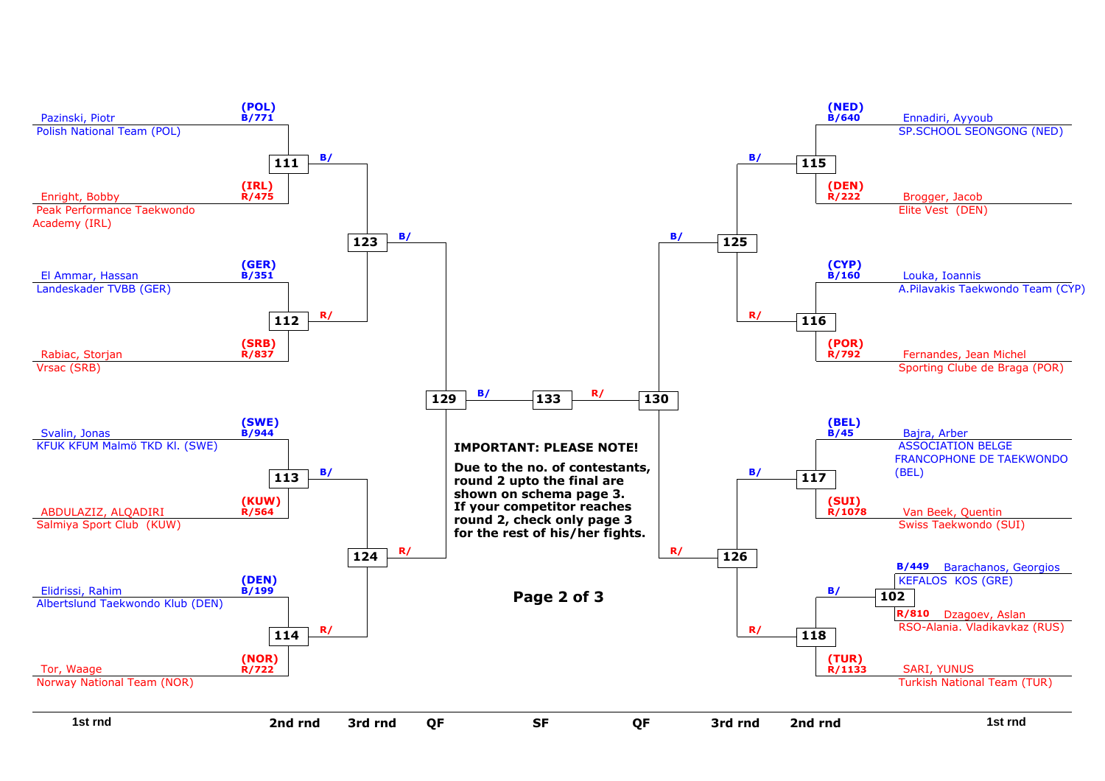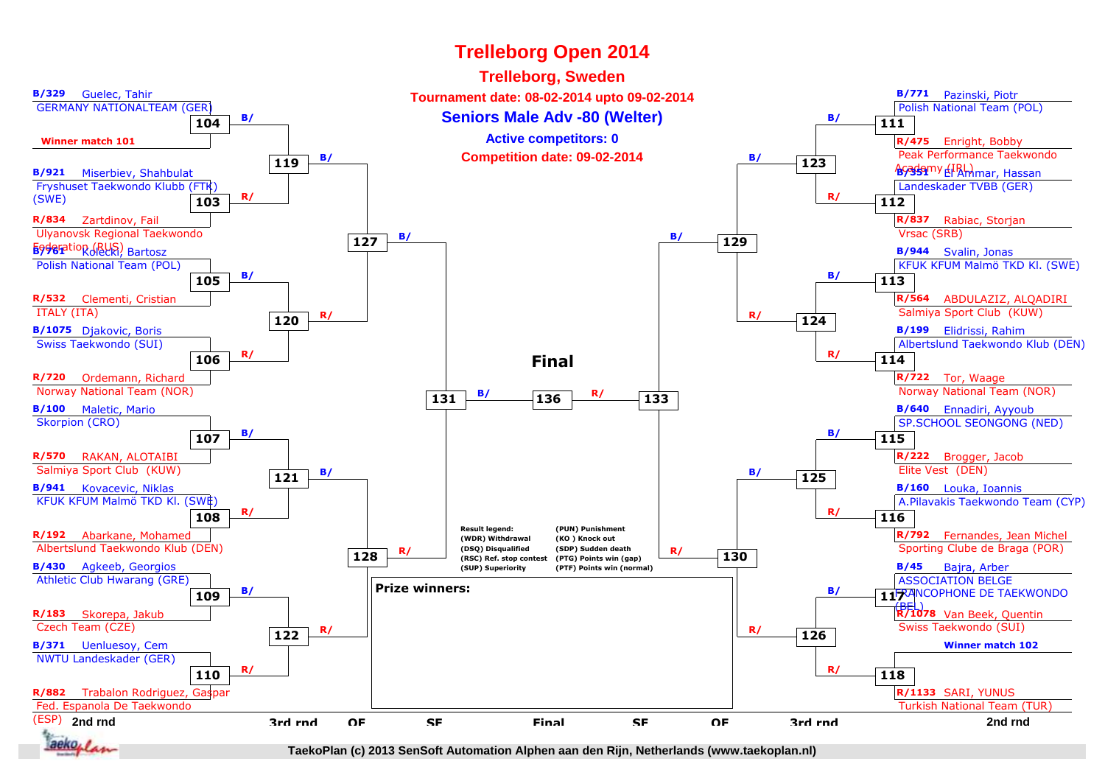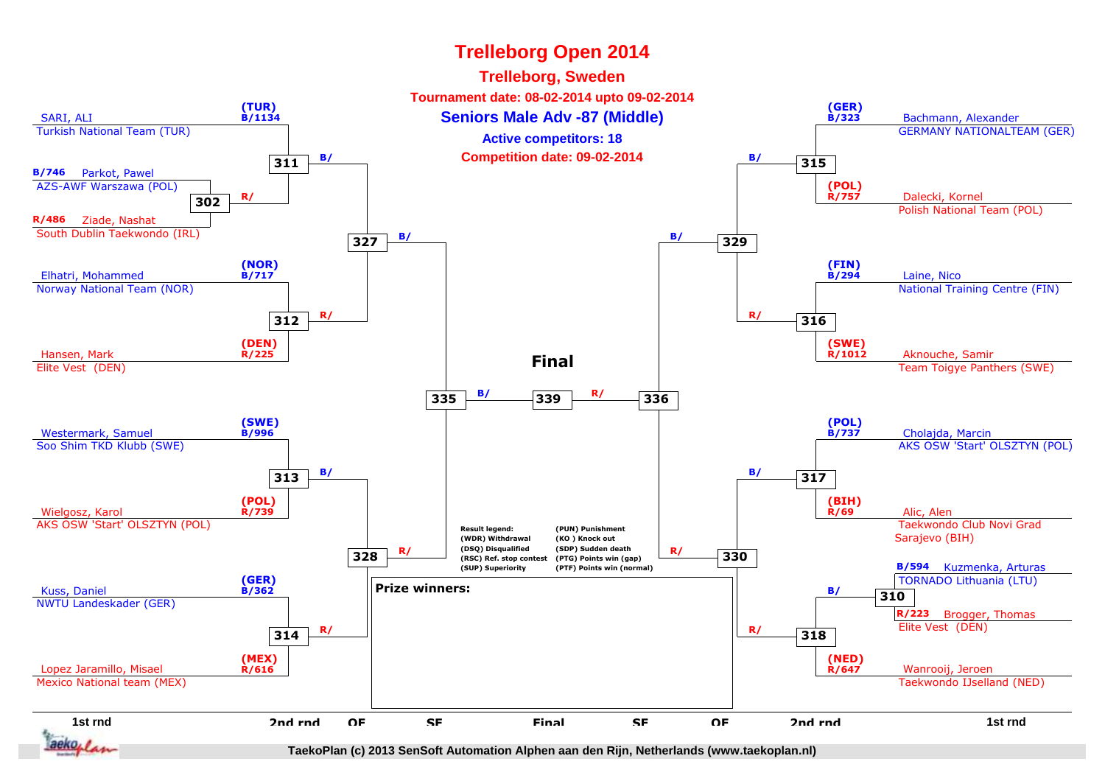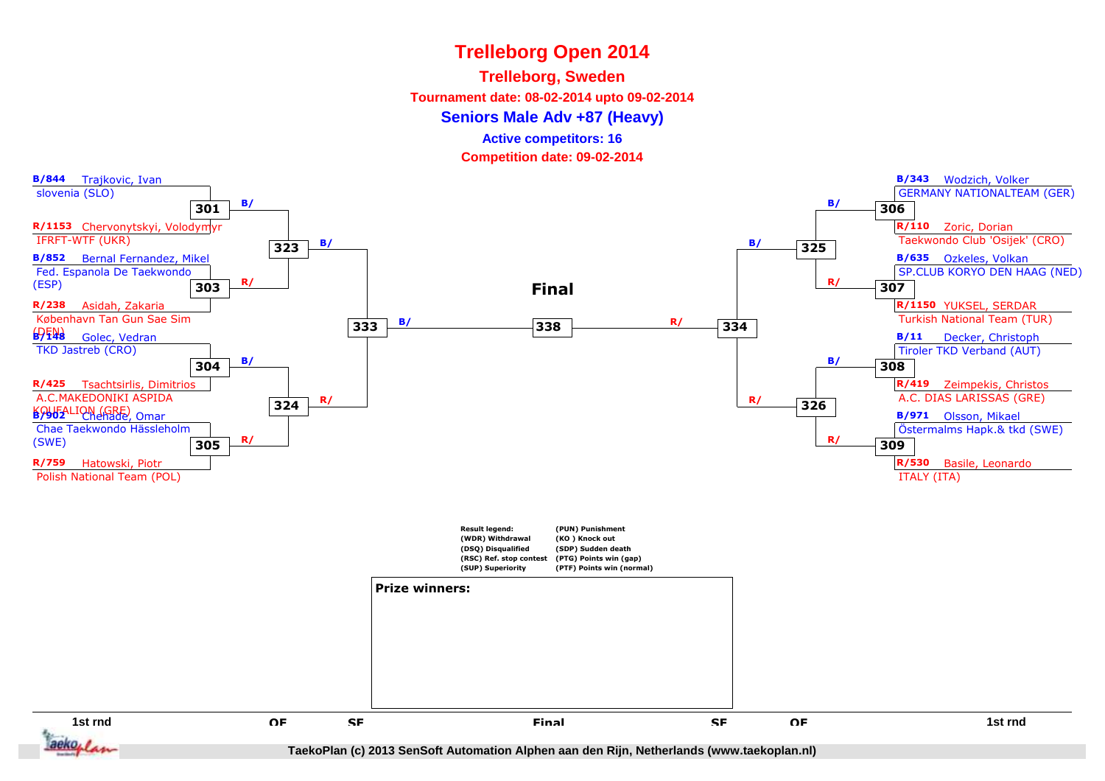### **Trelleborg, Sweden**

**Tournament date: 08-02-2014 upto 09-02-2014**

### **Seniors Male Adv +87 (Heavy)**

**Active competitors: 16**

**Competition date: 09-02-2014**

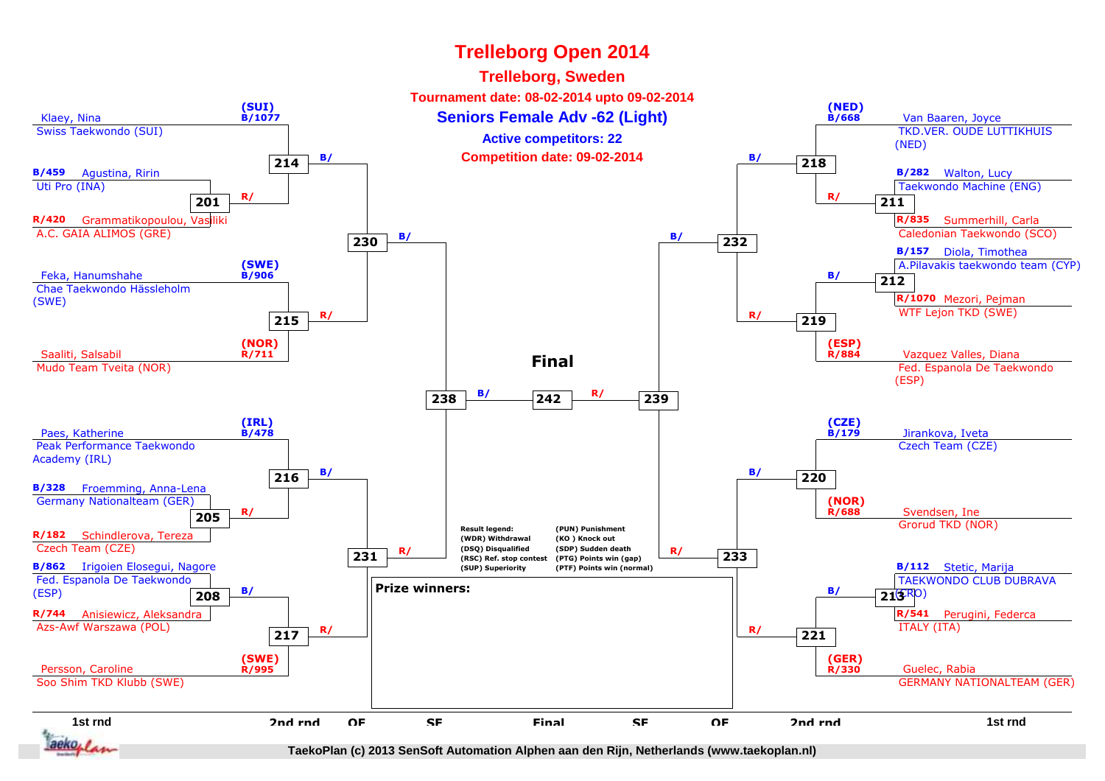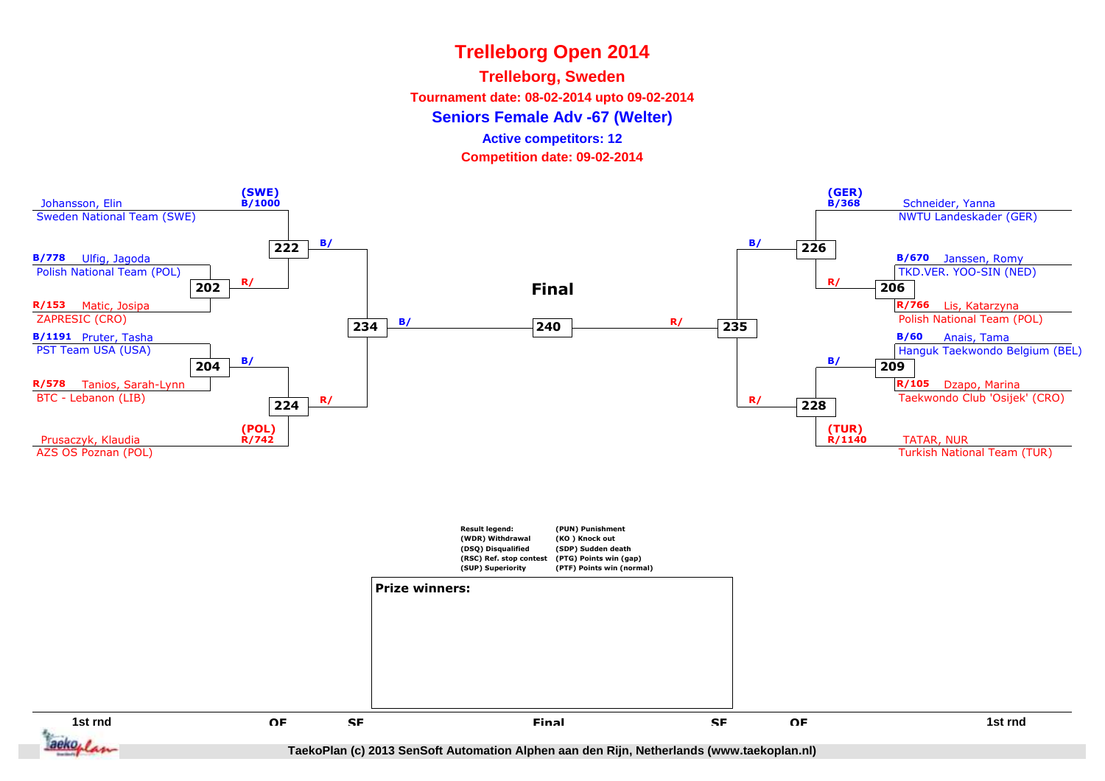### **Trelleborg, Sweden**

**Tournament date: 08-02-2014 upto 09-02-2014**

**Seniors Female Adv -67 (Welter)**

**Active competitors: 12**

**Competition date: 09-02-2014**

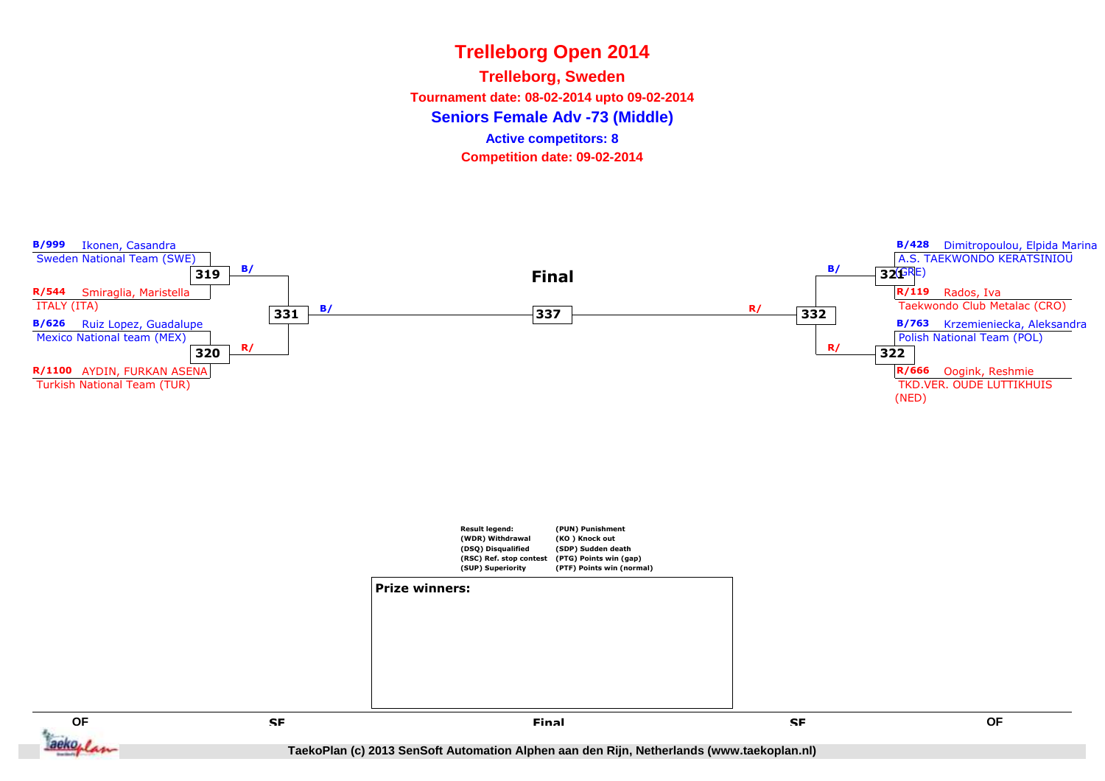**Seniors Female Adv -73 (Middle)Trelleborg, Sweden Tournament date: 08-02-2014 upto 09-02-2014Competition date: 09-02-2014 Active competitors: 8**



**QF QF** aeko<sub>blas</sub>

 **SF Final**